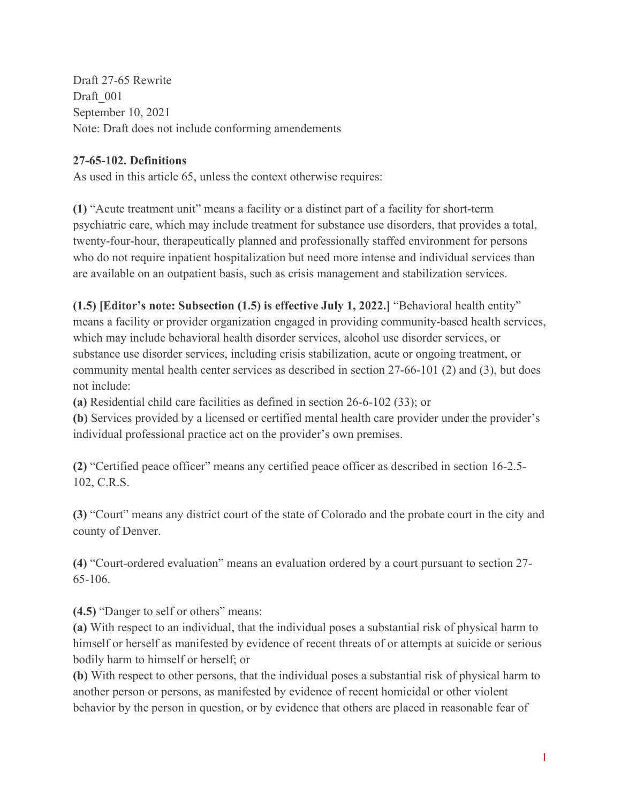Draft 27-65 Rewrite Draft 001 September 10, 2021 Note: Draft does not include conforming amendements

## **27-65-102. Definitions**

As used in this article 65, unless the context otherwise requires:

**(1)** "Acute treatment unit" means a facility or a distinct part of a facility for short-term psychiatric care, which may include treatment for substance use disorders, that provides a total, twenty-four-hour, therapeutically planned and professionally staffed environment for persons who do not require inpatient hospitalization but need more intense and individual services than are available on an outpatient basis, such as crisis management and stabilization services.

**(1.5) [Editor's note: Subsection (1.5) is effective July 1, 2022.]** "Behavioral health entity" means a facility or provider organization engaged in providing community-based health services, which may include behavioral health disorder services, alcohol use disorder services, or substance use disorder services, including crisis stabilization, acute or ongoing treatment, or community mental health center services as described in section 27-66-101 (2) and (3), but does not include:

**(a)** Residential child care facilities as defined in section 26-6-102 (33); or

**(b)** Services provided by a licensed or certified mental health care provider under the provider's individual professional practice act on the provider's own premises.

**(2)** "Certified peace officer" means any certified peace officer as described in section 16-2.5- 102, C.R.S.

**(3)** "Court" means any district court of the state of Colorado and the probate court in the city and county of Denver.

**(4)** "Court-ordered evaluation" means an evaluation ordered by a court pursuant to section 27- 65-106.

**(4.5)** "Danger to self or others" means:

**(a)** With respect to an individual, that the individual poses a substantial risk of physical harm to himself or herself as manifested by evidence of recent threats of or attempts at suicide or serious bodily harm to himself or herself; or

**(b)** With respect to other persons, that the individual poses a substantial risk of physical harm to another person or persons, as manifested by evidence of recent homicidal or other violent behavior by the person in question, or by evidence that others are placed in reasonable fear of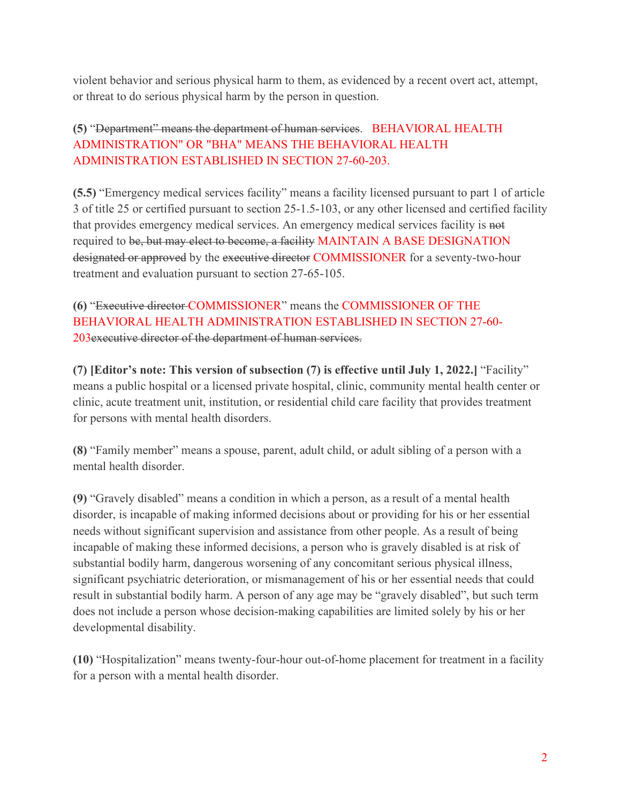violent behavior and serious physical harm to them, as evidenced by a recent overt act, attempt, or threat to do serious physical harm by the person in question.

# **(5)** "Department" means the department of human services. BEHAVIORAL HEALTH ADMINISTRATION" OR "BHA" MEANS THE BEHAVIORAL HEALTH ADMINISTRATION ESTABLISHED IN SECTION 27-60-203.

**(5.5)** "Emergency medical services facility" means a facility licensed pursuant to part 1 of article 3 of title 25 or certified pursuant to section 25-1.5-103, or any other licensed and certified facility that provides emergency medical services. An emergency medical services facility is not required to be, but may elect to become, a facility MAINTAIN A BASE DESIGNATION designated or approved by the executive director COMMISSIONER for a seventy-two-hour treatment and evaluation pursuant to section 27-65-105.

**(6)** "Executive director COMMISSIONER" means the COMMISSIONER OF THE BEHAVIORAL HEALTH ADMINISTRATION ESTABLISHED IN SECTION 27-60- 203executive director of the department of human services.

**(7) [Editor's note: This version of subsection (7) is effective until July 1, 2022.]** "Facility" means a public hospital or a licensed private hospital, clinic, community mental health center or clinic, acute treatment unit, institution, or residential child care facility that provides treatment for persons with mental health disorders.

**(8)** "Family member" means a spouse, parent, adult child, or adult sibling of a person with a mental health disorder.

**(9)** "Gravely disabled" means a condition in which a person, as a result of a mental health disorder, is incapable of making informed decisions about or providing for his or her essential needs without significant supervision and assistance from other people. As a result of being incapable of making these informed decisions, a person who is gravely disabled is at risk of substantial bodily harm, dangerous worsening of any concomitant serious physical illness, significant psychiatric deterioration, or mismanagement of his or her essential needs that could result in substantial bodily harm. A person of any age may be "gravely disabled", but such term does not include a person whose decision-making capabilities are limited solely by his or her developmental disability.

**(10)** "Hospitalization" means twenty-four-hour out-of-home placement for treatment in a facility for a person with a mental health disorder.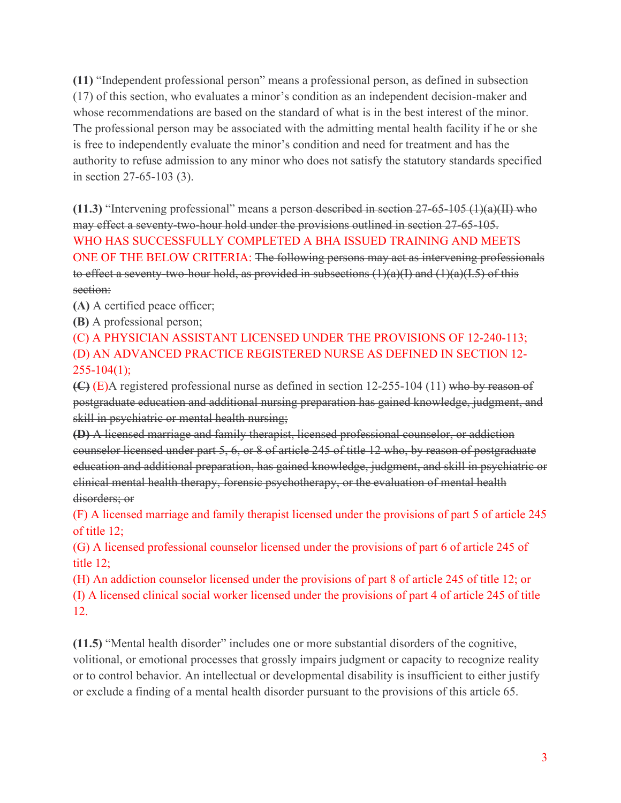**(11)** "Independent professional person" means a professional person, as defined in subsection (17) of this section, who evaluates a minor's condition as an independent decision-maker and whose recommendations are based on the standard of what is in the best interest of the minor. The professional person may be associated with the admitting mental health facility if he or she is free to independently evaluate the minor's condition and need for treatment and has the authority to refuse admission to any minor who does not satisfy the statutory standards specified in section 27-65-103 (3).

**(11.3)** "Intervening professional" means a person described in section 27-65-105 (1)(a)(II) who may effect a seventy-two-hour hold under the provisions outlined in section 27-65-105. WHO HAS SUCCESSFULLY COMPLETED A BHA ISSUED TRAINING AND MEETS ONE OF THE BELOW CRITERIA: The following persons may act as intervening professionals to effect a seventy-two-hour hold, as provided in subsections  $(1)(a)(I)$  and  $(1)(a)(I.5)$  of this section:

**(A)** A certified peace officer;

**(B)** A professional person;

(C) A PHYSICIAN ASSISTANT LICENSED UNDER THE PROVISIONS OF 12-240-113; (D) AN ADVANCED PRACTICE REGISTERED NURSE AS DEFINED IN SECTION 12-  $255 - 104(1);$ 

**(C)** (E)A registered professional nurse as defined in section 12-255-104 (11) who by reason of postgraduate education and additional nursing preparation has gained knowledge, judgment, and skill in psychiatric or mental health nursing;

**(D)** A licensed marriage and family therapist, licensed professional counselor, or addiction counselor licensed under part 5, 6, or 8 of article 245 of title 12 who, by reason of postgraduate education and additional preparation, has gained knowledge, judgment, and skill in psychiatric or clinical mental health therapy, forensic psychotherapy, or the evaluation of mental health disorders; or

(F) A licensed marriage and family therapist licensed under the provisions of part 5 of article 245 of title 12;

(G) A licensed professional counselor licensed under the provisions of part 6 of article 245 of title 12;

(H) An addiction counselor licensed under the provisions of part 8 of article 245 of title 12; or (I) A licensed clinical social worker licensed under the provisions of part 4 of article 245 of title 12.

**(11.5)** "Mental health disorder" includes one or more substantial disorders of the cognitive, volitional, or emotional processes that grossly impairs judgment or capacity to recognize reality or to control behavior. An intellectual or developmental disability is insufficient to either justify or exclude a finding of a mental health disorder pursuant to the provisions of this article 65.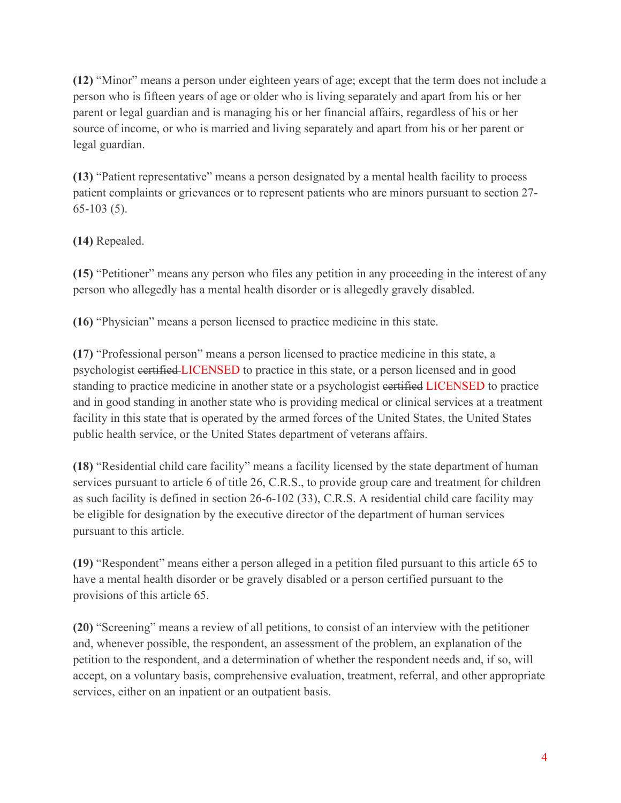**(12)** "Minor" means a person under eighteen years of age; except that the term does not include a person who is fifteen years of age or older who is living separately and apart from his or her parent or legal guardian and is managing his or her financial affairs, regardless of his or her source of income, or who is married and living separately and apart from his or her parent or legal guardian.

**(13)** "Patient representative" means a person designated by a mental health facility to process patient complaints or grievances or to represent patients who are minors pursuant to section 27- 65-103 (5).

# **(14)** Repealed.

**(15)** "Petitioner" means any person who files any petition in any proceeding in the interest of any person who allegedly has a mental health disorder or is allegedly gravely disabled.

**(16)** "Physician" means a person licensed to practice medicine in this state.

**(17)** "Professional person" means a person licensed to practice medicine in this state, a psychologist certified LICENSED to practice in this state, or a person licensed and in good standing to practice medicine in another state or a psychologist eertified LICENSED to practice and in good standing in another state who is providing medical or clinical services at a treatment facility in this state that is operated by the armed forces of the United States, the United States public health service, or the United States department of veterans affairs.

**(18)** "Residential child care facility" means a facility licensed by the state department of human services pursuant to article 6 of title 26, C.R.S., to provide group care and treatment for children as such facility is defined in section 26-6-102 (33), C.R.S. A residential child care facility may be eligible for designation by the executive director of the department of human services pursuant to this article.

**(19)** "Respondent" means either a person alleged in a petition filed pursuant to this article 65 to have a mental health disorder or be gravely disabled or a person certified pursuant to the provisions of this article 65.

**(20)** "Screening" means a review of all petitions, to consist of an interview with the petitioner and, whenever possible, the respondent, an assessment of the problem, an explanation of the petition to the respondent, and a determination of whether the respondent needs and, if so, will accept, on a voluntary basis, comprehensive evaluation, treatment, referral, and other appropriate services, either on an inpatient or an outpatient basis.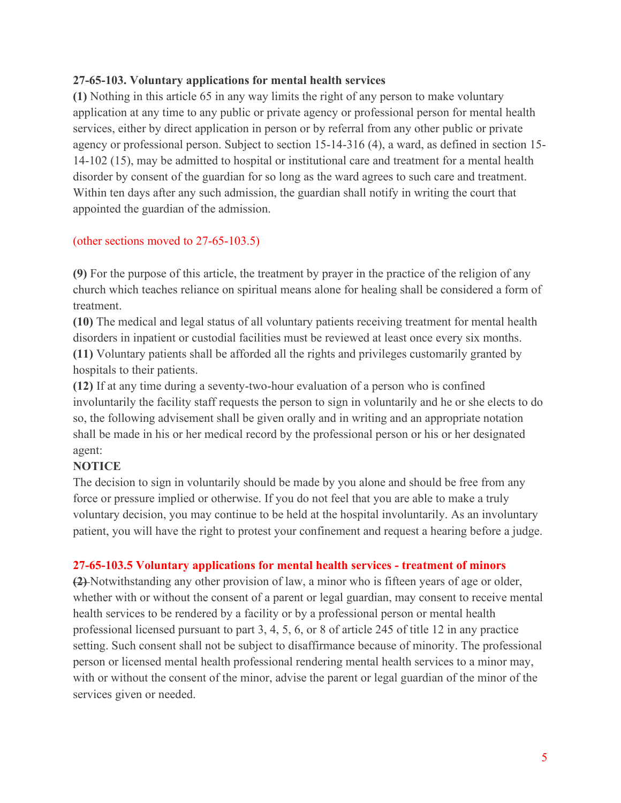#### **27-65-103. Voluntary applications for mental health services**

**(1)** Nothing in this article 65 in any way limits the right of any person to make voluntary application at any time to any public or private agency or professional person for mental health services, either by direct application in person or by referral from any other public or private agency or professional person. Subject to section 15-14-316 (4), a ward, as defined in section 15- 14-102 (15), may be admitted to hospital or institutional care and treatment for a mental health disorder by consent of the guardian for so long as the ward agrees to such care and treatment. Within ten days after any such admission, the guardian shall notify in writing the court that appointed the guardian of the admission.

#### (other sections moved to 27-65-103.5)

**(9)** For the purpose of this article, the treatment by prayer in the practice of the religion of any church which teaches reliance on spiritual means alone for healing shall be considered a form of treatment.

**(10)** The medical and legal status of all voluntary patients receiving treatment for mental health disorders in inpatient or custodial facilities must be reviewed at least once every six months. **(11)** Voluntary patients shall be afforded all the rights and privileges customarily granted by hospitals to their patients.

**(12)** If at any time during a seventy-two-hour evaluation of a person who is confined involuntarily the facility staff requests the person to sign in voluntarily and he or she elects to do so, the following advisement shall be given orally and in writing and an appropriate notation shall be made in his or her medical record by the professional person or his or her designated agent:

#### **NOTICE**

The decision to sign in voluntarily should be made by you alone and should be free from any force or pressure implied or otherwise. If you do not feel that you are able to make a truly voluntary decision, you may continue to be held at the hospital involuntarily. As an involuntary patient, you will have the right to protest your confinement and request a hearing before a judge.

#### **27-65-103.5 Voluntary applications for mental health services - treatment of minors**

**(2)** Notwithstanding any other provision of law, a minor who is fifteen years of age or older, whether with or without the consent of a parent or legal guardian, may consent to receive mental health services to be rendered by a facility or by a professional person or mental health professional licensed pursuant to part 3, 4, 5, 6, or 8 of article 245 of title 12 in any practice setting. Such consent shall not be subject to disaffirmance because of minority. The professional person or licensed mental health professional rendering mental health services to a minor may, with or without the consent of the minor, advise the parent or legal guardian of the minor of the services given or needed.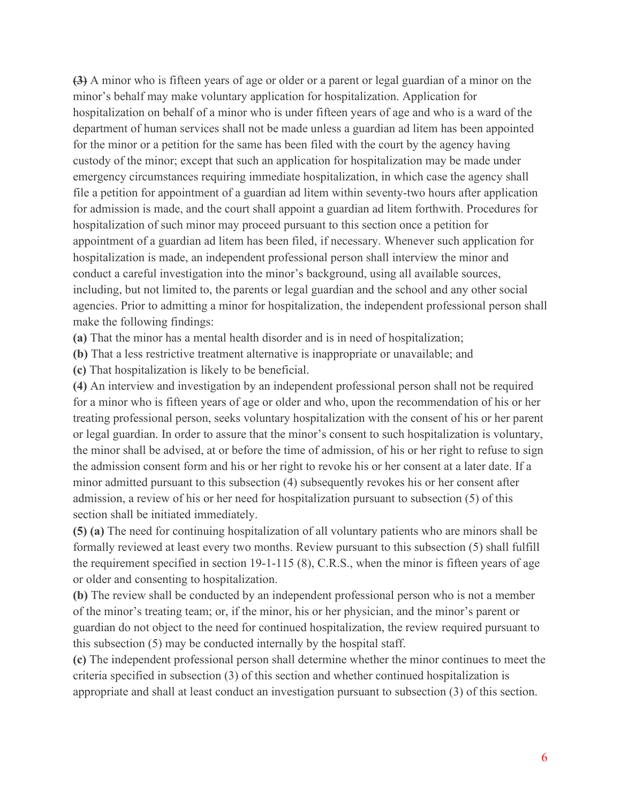**(3)** A minor who is fifteen years of age or older or a parent or legal guardian of a minor on the minor's behalf may make voluntary application for hospitalization. Application for hospitalization on behalf of a minor who is under fifteen years of age and who is a ward of the department of human services shall not be made unless a guardian ad litem has been appointed for the minor or a petition for the same has been filed with the court by the agency having custody of the minor; except that such an application for hospitalization may be made under emergency circumstances requiring immediate hospitalization, in which case the agency shall file a petition for appointment of a guardian ad litem within seventy-two hours after application for admission is made, and the court shall appoint a guardian ad litem forthwith. Procedures for hospitalization of such minor may proceed pursuant to this section once a petition for appointment of a guardian ad litem has been filed, if necessary. Whenever such application for hospitalization is made, an independent professional person shall interview the minor and conduct a careful investigation into the minor's background, using all available sources, including, but not limited to, the parents or legal guardian and the school and any other social agencies. Prior to admitting a minor for hospitalization, the independent professional person shall make the following findings:

**(a)** That the minor has a mental health disorder and is in need of hospitalization;

**(b)** That a less restrictive treatment alternative is inappropriate or unavailable; and

**(c)** That hospitalization is likely to be beneficial.

**(4)** An interview and investigation by an independent professional person shall not be required for a minor who is fifteen years of age or older and who, upon the recommendation of his or her treating professional person, seeks voluntary hospitalization with the consent of his or her parent or legal guardian. In order to assure that the minor's consent to such hospitalization is voluntary, the minor shall be advised, at or before the time of admission, of his or her right to refuse to sign the admission consent form and his or her right to revoke his or her consent at a later date. If a minor admitted pursuant to this subsection (4) subsequently revokes his or her consent after admission, a review of his or her need for hospitalization pursuant to subsection (5) of this section shall be initiated immediately.

**(5) (a)** The need for continuing hospitalization of all voluntary patients who are minors shall be formally reviewed at least every two months. Review pursuant to this subsection (5) shall fulfill the requirement specified in section 19-1-115 (8), C.R.S., when the minor is fifteen years of age or older and consenting to hospitalization.

**(b)** The review shall be conducted by an independent professional person who is not a member of the minor's treating team; or, if the minor, his or her physician, and the minor's parent or guardian do not object to the need for continued hospitalization, the review required pursuant to this subsection (5) may be conducted internally by the hospital staff.

**(c)** The independent professional person shall determine whether the minor continues to meet the criteria specified in subsection (3) of this section and whether continued hospitalization is appropriate and shall at least conduct an investigation pursuant to subsection (3) of this section.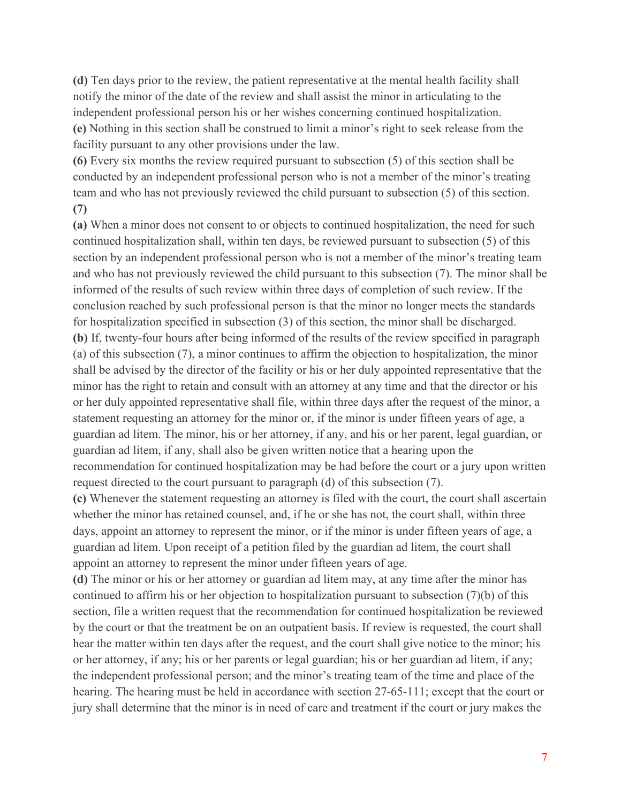**(d)** Ten days prior to the review, the patient representative at the mental health facility shall notify the minor of the date of the review and shall assist the minor in articulating to the independent professional person his or her wishes concerning continued hospitalization. **(e)** Nothing in this section shall be construed to limit a minor's right to seek release from the facility pursuant to any other provisions under the law.

**(6)** Every six months the review required pursuant to subsection (5) of this section shall be conducted by an independent professional person who is not a member of the minor's treating team and who has not previously reviewed the child pursuant to subsection (5) of this section. **(7)**

**(a)** When a minor does not consent to or objects to continued hospitalization, the need for such continued hospitalization shall, within ten days, be reviewed pursuant to subsection (5) of this section by an independent professional person who is not a member of the minor's treating team and who has not previously reviewed the child pursuant to this subsection (7). The minor shall be informed of the results of such review within three days of completion of such review. If the conclusion reached by such professional person is that the minor no longer meets the standards for hospitalization specified in subsection (3) of this section, the minor shall be discharged. **(b)** If, twenty-four hours after being informed of the results of the review specified in paragraph (a) of this subsection (7), a minor continues to affirm the objection to hospitalization, the minor shall be advised by the director of the facility or his or her duly appointed representative that the minor has the right to retain and consult with an attorney at any time and that the director or his or her duly appointed representative shall file, within three days after the request of the minor, a statement requesting an attorney for the minor or, if the minor is under fifteen years of age, a guardian ad litem. The minor, his or her attorney, if any, and his or her parent, legal guardian, or guardian ad litem, if any, shall also be given written notice that a hearing upon the recommendation for continued hospitalization may be had before the court or a jury upon written request directed to the court pursuant to paragraph (d) of this subsection (7). **(c)** Whenever the statement requesting an attorney is filed with the court, the court shall ascertain whether the minor has retained counsel, and, if he or she has not, the court shall, within three

days, appoint an attorney to represent the minor, or if the minor is under fifteen years of age, a guardian ad litem. Upon receipt of a petition filed by the guardian ad litem, the court shall appoint an attorney to represent the minor under fifteen years of age.

**(d)** The minor or his or her attorney or guardian ad litem may, at any time after the minor has continued to affirm his or her objection to hospitalization pursuant to subsection (7)(b) of this section, file a written request that the recommendation for continued hospitalization be reviewed by the court or that the treatment be on an outpatient basis. If review is requested, the court shall hear the matter within ten days after the request, and the court shall give notice to the minor; his or her attorney, if any; his or her parents or legal guardian; his or her guardian ad litem, if any; the independent professional person; and the minor's treating team of the time and place of the hearing. The hearing must be held in accordance with section 27-65-111; except that the court or jury shall determine that the minor is in need of care and treatment if the court or jury makes the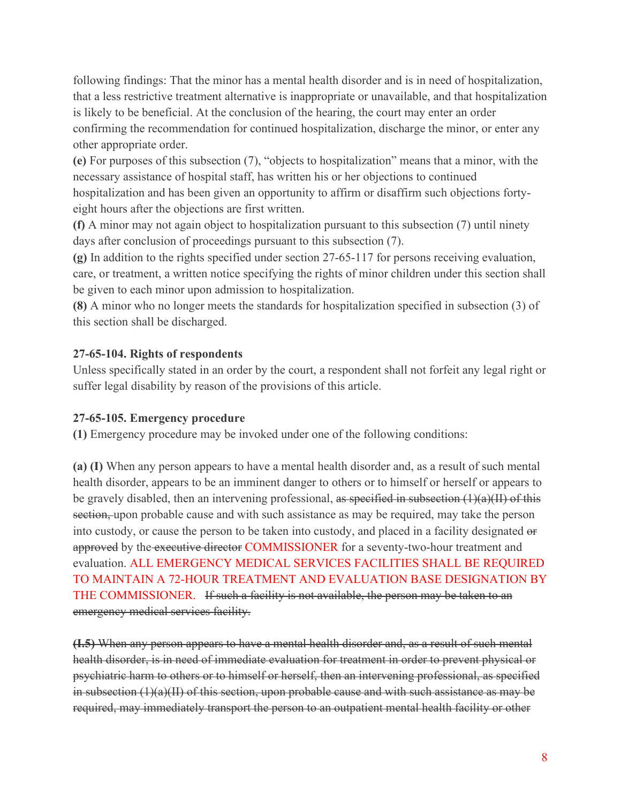following findings: That the minor has a mental health disorder and is in need of hospitalization, that a less restrictive treatment alternative is inappropriate or unavailable, and that hospitalization is likely to be beneficial. At the conclusion of the hearing, the court may enter an order confirming the recommendation for continued hospitalization, discharge the minor, or enter any other appropriate order.

**(e)** For purposes of this subsection (7), "objects to hospitalization" means that a minor, with the necessary assistance of hospital staff, has written his or her objections to continued hospitalization and has been given an opportunity to affirm or disaffirm such objections fortyeight hours after the objections are first written.

**(f)** A minor may not again object to hospitalization pursuant to this subsection (7) until ninety days after conclusion of proceedings pursuant to this subsection (7).

**(g)** In addition to the rights specified under section 27-65-117 for persons receiving evaluation, care, or treatment, a written notice specifying the rights of minor children under this section shall be given to each minor upon admission to hospitalization.

**(8)** A minor who no longer meets the standards for hospitalization specified in subsection (3) of this section shall be discharged.

### **27-65-104. Rights of respondents**

Unless specifically stated in an order by the court, a respondent shall not forfeit any legal right or suffer legal disability by reason of the provisions of this article.

#### **27-65-105. Emergency procedure**

**(1)** Emergency procedure may be invoked under one of the following conditions:

**(a) (I)** When any person appears to have a mental health disorder and, as a result of such mental health disorder, appears to be an imminent danger to others or to himself or herself or appears to be gravely disabled, then an intervening professional, as specified in subsection  $(1)(a)(II)$  of this section, upon probable cause and with such assistance as may be required, may take the person into custody, or cause the person to be taken into custody, and placed in a facility designated or approved by the executive director COMMISSIONER for a seventy-two-hour treatment and evaluation. ALL EMERGENCY MEDICAL SERVICES FACILITIES SHALL BE REQUIRED TO MAINTAIN A 72-HOUR TREATMENT AND EVALUATION BASE DESIGNATION BY THE COMMISSIONER. If such a facility is not available, the person may be taken to an emergency medical services facility.

**(I.5)** When any person appears to have a mental health disorder and, as a result of such mental health disorder, is in need of immediate evaluation for treatment in order to prevent physical or psychiatric harm to others or to himself or herself, then an intervening professional, as specified in subsection (1)(a)(II) of this section, upon probable cause and with such assistance as may be required, may immediately transport the person to an outpatient mental health facility or other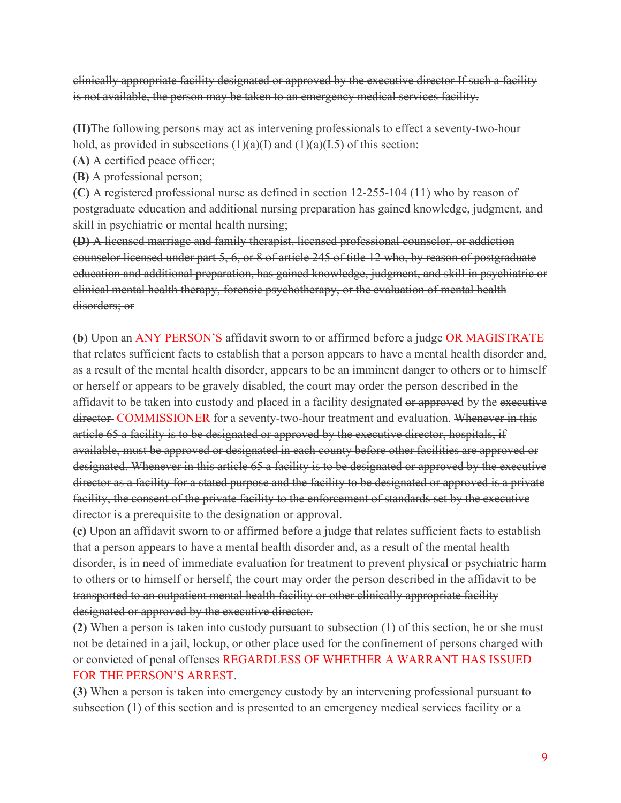clinically appropriate facility designated or approved by the executive director If such a facility is not available, the person may be taken to an emergency medical services facility.

**(II)**The following persons may act as intervening professionals to effect a seventy-two-hour hold, as provided in subsections  $(1)(a)(I)$  and  $(1)(a)(I.5)$  of this section:

**(A)** A certified peace officer;

**(B)** A professional person;

**(C)** A registered professional nurse as defined in section 12-255-104 (11) who by reason of postgraduate education and additional nursing preparation has gained knowledge, judgment, and skill in psychiatric or mental health nursing;

**(D)** A licensed marriage and family therapist, licensed professional counselor, or addiction counselor licensed under part 5, 6, or 8 of article 245 of title 12 who, by reason of postgraduate education and additional preparation, has gained knowledge, judgment, and skill in psychiatric or clinical mental health therapy, forensic psychotherapy, or the evaluation of mental health disorders; or

**(b)** Upon an ANY PERSON'S affidavit sworn to or affirmed before a judge OR MAGISTRATE that relates sufficient facts to establish that a person appears to have a mental health disorder and, as a result of the mental health disorder, appears to be an imminent danger to others or to himself or herself or appears to be gravely disabled, the court may order the person described in the affidavit to be taken into custody and placed in a facility designated or approved by the executive director COMMISSIONER for a seventy-two-hour treatment and evaluation. Whenever in this article 65 a facility is to be designated or approved by the executive director, hospitals, if available, must be approved or designated in each county before other facilities are approved or designated. Whenever in this article 65 a facility is to be designated or approved by the executive director as a facility for a stated purpose and the facility to be designated or approved is a private facility, the consent of the private facility to the enforcement of standards set by the executive director is a prerequisite to the designation or approval.

**(c)** Upon an affidavit sworn to or affirmed before a judge that relates sufficient facts to establish that a person appears to have a mental health disorder and, as a result of the mental health disorder, is in need of immediate evaluation for treatment to prevent physical or psychiatric harm to others or to himself or herself, the court may order the person described in the affidavit to be transported to an outpatient mental health facility or other clinically appropriate facility designated or approved by the executive director.

**(2)** When a person is taken into custody pursuant to subsection (1) of this section, he or she must not be detained in a jail, lockup, or other place used for the confinement of persons charged with or convicted of penal offenses REGARDLESS OF WHETHER A WARRANT HAS ISSUED FOR THE PERSON'S ARREST.

**(3)** When a person is taken into emergency custody by an intervening professional pursuant to subsection (1) of this section and is presented to an emergency medical services facility or a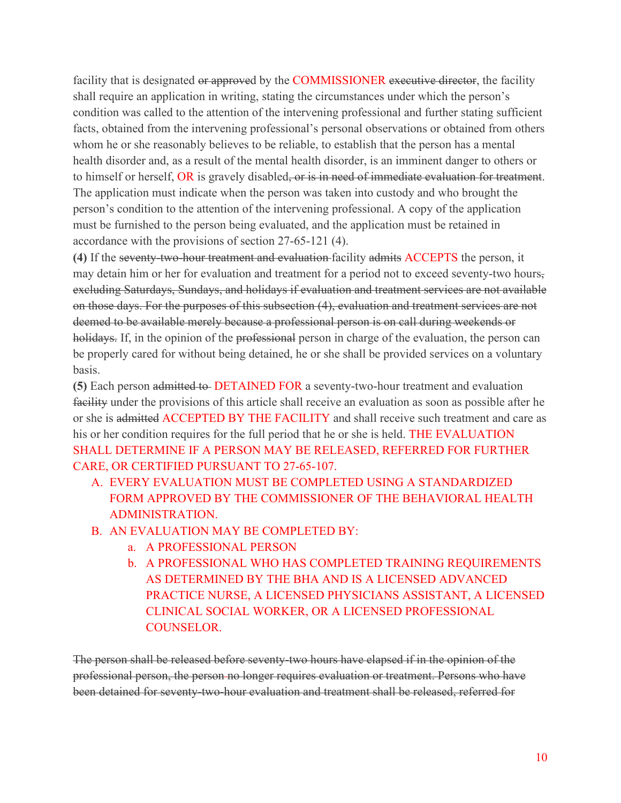facility that is designated or approved by the COMMISSIONER executive director, the facility shall require an application in writing, stating the circumstances under which the person's condition was called to the attention of the intervening professional and further stating sufficient facts, obtained from the intervening professional's personal observations or obtained from others whom he or she reasonably believes to be reliable, to establish that the person has a mental health disorder and, as a result of the mental health disorder, is an imminent danger to others or to himself or herself, OR is gravely disabled, or is in need of immediate evaluation for treatment. The application must indicate when the person was taken into custody and who brought the person's condition to the attention of the intervening professional. A copy of the application must be furnished to the person being evaluated, and the application must be retained in accordance with the provisions of section 27-65-121 (4).

**(4)** If the seventy-two-hour treatment and evaluation facility admits ACCEPTS the person, it may detain him or her for evaluation and treatment for a period not to exceed seventy-two hours, excluding Saturdays, Sundays, and holidays if evaluation and treatment services are not available on those days. For the purposes of this subsection (4), evaluation and treatment services are not deemed to be available merely because a professional person is on call during weekends or holidays. If, in the opinion of the professional person in charge of the evaluation, the person can be properly cared for without being detained, he or she shall be provided services on a voluntary basis.

**(5)** Each person admitted to DETAINED FOR a seventy-two-hour treatment and evaluation facility under the provisions of this article shall receive an evaluation as soon as possible after he or she is admitted ACCEPTED BY THE FACILITY and shall receive such treatment and care as his or her condition requires for the full period that he or she is held. THE EVALUATION SHALL DETERMINE IF A PERSON MAY BE RELEASED, REFERRED FOR FURTHER CARE, OR CERTIFIED PURSUANT TO 27-65-107.

- A. EVERY EVALUATION MUST BE COMPLETED USING A STANDARDIZED FORM APPROVED BY THE COMMISSIONER OF THE BEHAVIORAL HEALTH ADMINISTRATION.
- B. AN EVALUATION MAY BE COMPLETED BY:
	- a. A PROFESSIONAL PERSON
	- b. A PROFESSIONAL WHO HAS COMPLETED TRAINING REQUIREMENTS AS DETERMINED BY THE BHA AND IS A LICENSED ADVANCED PRACTICE NURSE, A LICENSED PHYSICIANS ASSISTANT, A LICENSED CLINICAL SOCIAL WORKER, OR A LICENSED PROFESSIONAL COUNSELOR.

The person shall be released before seventy-two hours have elapsed if in the opinion of the professional person, the person no longer requires evaluation or treatment. Persons who have been detained for seventy-two-hour evaluation and treatment shall be released, referred for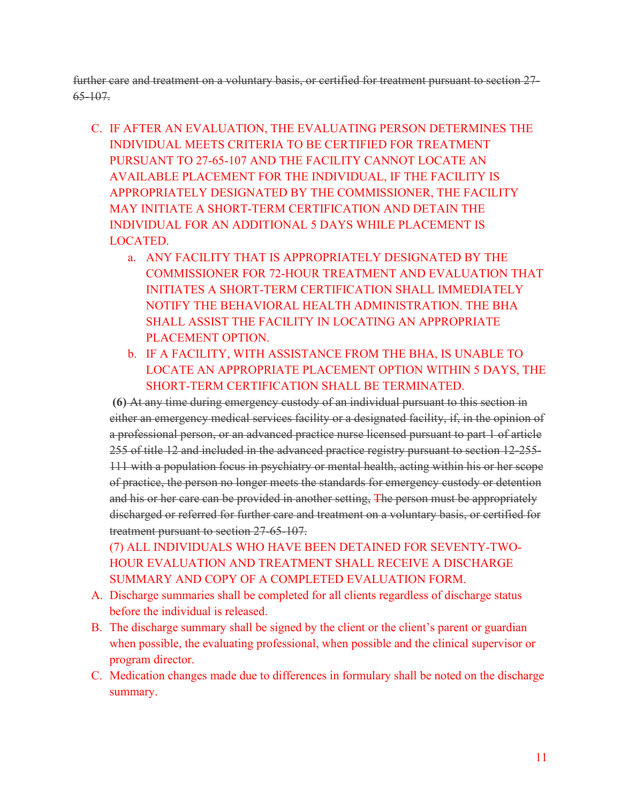further care and treatment on a voluntary basis, or certified for treatment pursuant to section 27- 65-107.

- C. IF AFTER AN EVALUATION, THE EVALUATING PERSON DETERMINES THE INDIVIDUAL MEETS CRITERIA TO BE CERTIFIED FOR TREATMENT PURSUANT TO 27-65-107 AND THE FACILITY CANNOT LOCATE AN AVAILABLE PLACEMENT FOR THE INDIVIDUAL, IF THE FACILITY IS APPROPRIATELY DESIGNATED BY THE COMMISSIONER, THE FACILITY MAY INITIATE A SHORT-TERM CERTIFICATION AND DETAIN THE INDIVIDUAL FOR AN ADDITIONAL 5 DAYS WHILE PLACEMENT IS LOCATED.
	- a. ANY FACILITY THAT IS APPROPRIATELY DESIGNATED BY THE COMMISSIONER FOR 72-HOUR TREATMENT AND EVALUATION THAT INITIATES A SHORT-TERM CERTIFICATION SHALL IMMEDIATELY NOTIFY THE BEHAVIORAL HEALTH ADMINISTRATION. THE BHA SHALL ASSIST THE FACILITY IN LOCATING AN APPROPRIATE PLACEMENT OPTION.
	- b. IF A FACILITY, WITH ASSISTANCE FROM THE BHA, IS UNABLE TO LOCATE AN APPROPRIATE PLACEMENT OPTION WITHIN 5 DAYS, THE SHORT-TERM CERTIFICATION SHALL BE TERMINATED.

**(6)** At any time during emergency custody of an individual pursuant to this section in either an emergency medical services facility or a designated facility, if, in the opinion of a professional person, or an advanced practice nurse licensed pursuant to part 1 of article 255 of title 12 and included in the advanced practice registry pursuant to section 12-255- 111 with a population focus in psychiatry or mental health, acting within his or her scope of practice, the person no longer meets the standards for emergency custody or detention and his or her care can be provided in another setting, The person must be appropriately discharged or referred for further care and treatment on a voluntary basis, or certified for treatment pursuant to section 27-65-107.

(7) ALL INDIVIDUALS WHO HAVE BEEN DETAINED FOR SEVENTY-TWO-HOUR EVALUATION AND TREATMENT SHALL RECEIVE A DISCHARGE SUMMARY AND COPY OF A COMPLETED EVALUATION FORM.

- A. Discharge summaries shall be completed for all clients regardless of discharge status before the individual is released.
- B. The discharge summary shall be signed by the client or the client's parent or guardian when possible, the evaluating professional, when possible and the clinical supervisor or program director.
- C. Medication changes made due to differences in formulary shall be noted on the discharge summary.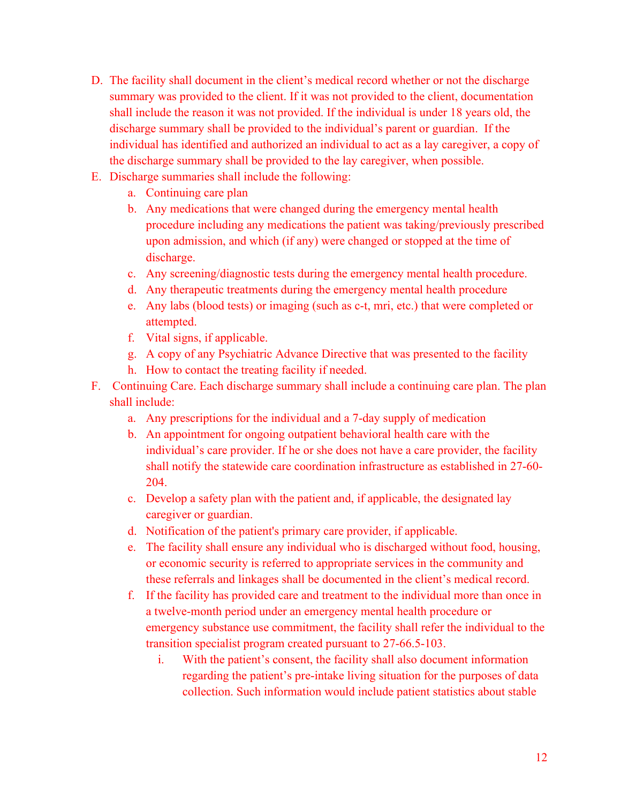- D. The facility shall document in the client's medical record whether or not the discharge summary was provided to the client. If it was not provided to the client, documentation shall include the reason it was not provided. If the individual is under 18 years old, the discharge summary shall be provided to the individual's parent or guardian. If the individual has identified and authorized an individual to act as a lay caregiver, a copy of the discharge summary shall be provided to the lay caregiver, when possible.
- E. Discharge summaries shall include the following:
	- a. Continuing care plan
	- b. Any medications that were changed during the emergency mental health procedure including any medications the patient was taking/previously prescribed upon admission, and which (if any) were changed or stopped at the time of discharge.
	- c. Any screening/diagnostic tests during the emergency mental health procedure.
	- d. Any therapeutic treatments during the emergency mental health procedure
	- e. Any labs (blood tests) or imaging (such as c-t, mri, etc.) that were completed or attempted.
	- f. Vital signs, if applicable.
	- g. A copy of any Psychiatric Advance Directive that was presented to the facility
	- h. How to contact the treating facility if needed.
- F. Continuing Care. Each discharge summary shall include a continuing care plan. The plan shall include:
	- a. Any prescriptions for the individual and a 7-day supply of medication
	- b. An appointment for ongoing outpatient behavioral health care with the individual's care provider. If he or she does not have a care provider, the facility shall notify the statewide care coordination infrastructure as established in 27-60- 204.
	- c. Develop a safety plan with the patient and, if applicable, the designated lay caregiver or guardian.
	- d. Notification of the patient's primary care provider, if applicable.
	- e. The facility shall ensure any individual who is discharged without food, housing, or economic security is referred to appropriate services in the community and these referrals and linkages shall be documented in the client's medical record.
	- f. If the facility has provided care and treatment to the individual more than once in a twelve-month period under an emergency mental health procedure or emergency substance use commitment, the facility shall refer the individual to the transition specialist program created pursuant to 27-66.5-103.
		- i. With the patient's consent, the facility shall also document information regarding the patient's pre-intake living situation for the purposes of data collection. Such information would include patient statistics about stable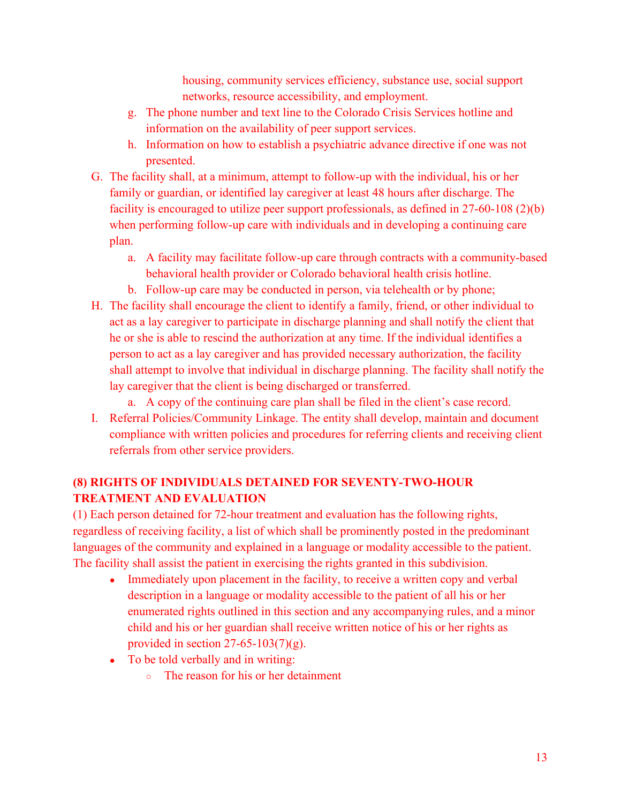housing, community services efficiency, substance use, social support networks, resource accessibility, and employment.

- g. The phone number and text line to the Colorado Crisis Services hotline and information on the availability of peer support services.
- h. Information on how to establish a psychiatric advance directive if one was not presented.
- G. The facility shall, at a minimum, attempt to follow-up with the individual, his or her family or guardian, or identified lay caregiver at least 48 hours after discharge. The facility is encouraged to utilize peer support professionals, as defined in 27-60-108 (2)(b) when performing follow-up care with individuals and in developing a continuing care plan.
	- a. A facility may facilitate follow-up care through contracts with a community-based behavioral health provider or Colorado behavioral health crisis hotline.
	- b. Follow-up care may be conducted in person, via telehealth or by phone;
- H. The facility shall encourage the client to identify a family, friend, or other individual to act as a lay caregiver to participate in discharge planning and shall notify the client that he or she is able to rescind the authorization at any time. If the individual identifies a person to act as a lay caregiver and has provided necessary authorization, the facility shall attempt to involve that individual in discharge planning. The facility shall notify the lay caregiver that the client is being discharged or transferred.
	- a. A copy of the continuing care plan shall be filed in the client's case record.
- I. Referral Policies/Community Linkage. The entity shall develop, maintain and document compliance with written policies and procedures for referring clients and receiving client referrals from other service providers.

# **(8) RIGHTS OF INDIVIDUALS DETAINED FOR SEVENTY-TWO-HOUR TREATMENT AND EVALUATION**

(1) Each person detained for 72-hour treatment and evaluation has the following rights, regardless of receiving facility, a list of which shall be prominently posted in the predominant languages of the community and explained in a language or modality accessible to the patient. The facility shall assist the patient in exercising the rights granted in this subdivision.

- Immediately upon placement in the facility, to receive a written copy and verbal description in a language or modality accessible to the patient of all his or her enumerated rights outlined in this section and any accompanying rules, and a minor child and his or her guardian shall receive written notice of his or her rights as provided in section  $27-65-103(7)(g)$ .
- To be told verbally and in writing:
	- The reason for his or her detainment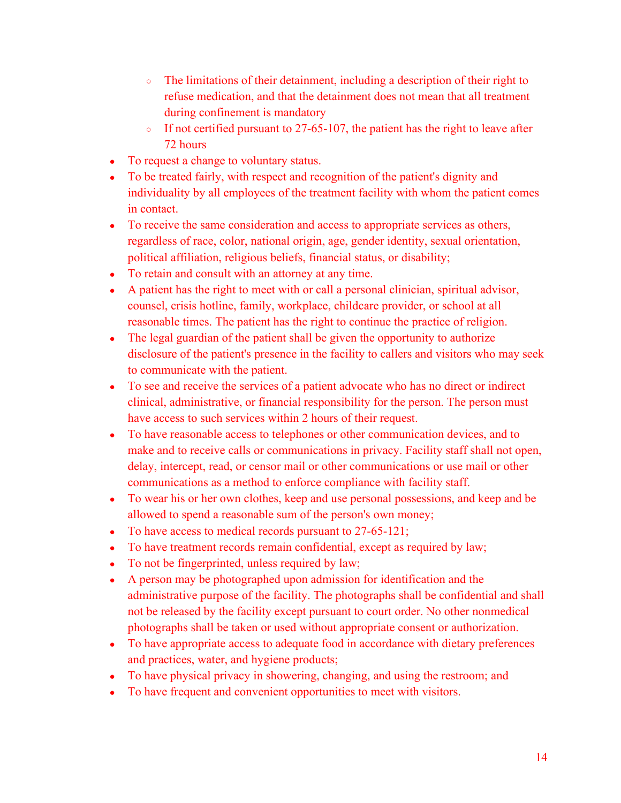- The limitations of their detainment, including a description of their right to refuse medication, and that the detainment does not mean that all treatment during confinement is mandatory
- $\circ$  If not certified pursuant to 27-65-107, the patient has the right to leave after 72 hours
- To request a change to voluntary status.
- To be treated fairly, with respect and recognition of the patient's dignity and individuality by all employees of the treatment facility with whom the patient comes in contact.
- To receive the same consideration and access to appropriate services as others, regardless of race, color, national origin, age, gender identity, sexual orientation, political affiliation, religious beliefs, financial status, or disability;
- To retain and consult with an attorney at any time.
- A patient has the right to meet with or call a personal clinician, spiritual advisor, counsel, crisis hotline, family, workplace, childcare provider, or school at all reasonable times. The patient has the right to continue the practice of religion.
- The legal guardian of the patient shall be given the opportunity to authorize disclosure of the patient's presence in the facility to callers and visitors who may seek to communicate with the patient.
- To see and receive the services of a patient advocate who has no direct or indirect clinical, administrative, or financial responsibility for the person. The person must have access to such services within 2 hours of their request.
- To have reasonable access to telephones or other communication devices, and to make and to receive calls or communications in privacy. Facility staff shall not open, delay, intercept, read, or censor mail or other communications or use mail or other communications as a method to enforce compliance with facility staff.
- To wear his or her own clothes, keep and use personal possessions, and keep and be allowed to spend a reasonable sum of the person's own money;
- To have access to medical records pursuant to 27-65-121;
- To have treatment records remain confidential, except as required by law;
- To not be fingerprinted, unless required by law;
- A person may be photographed upon admission for identification and the administrative purpose of the facility. The photographs shall be confidential and shall not be released by the facility except pursuant to court order. No other nonmedical photographs shall be taken or used without appropriate consent or authorization.
- To have appropriate access to adequate food in accordance with dietary preferences and practices, water, and hygiene products;
- To have physical privacy in showering, changing, and using the restroom; and
- To have frequent and convenient opportunities to meet with visitors.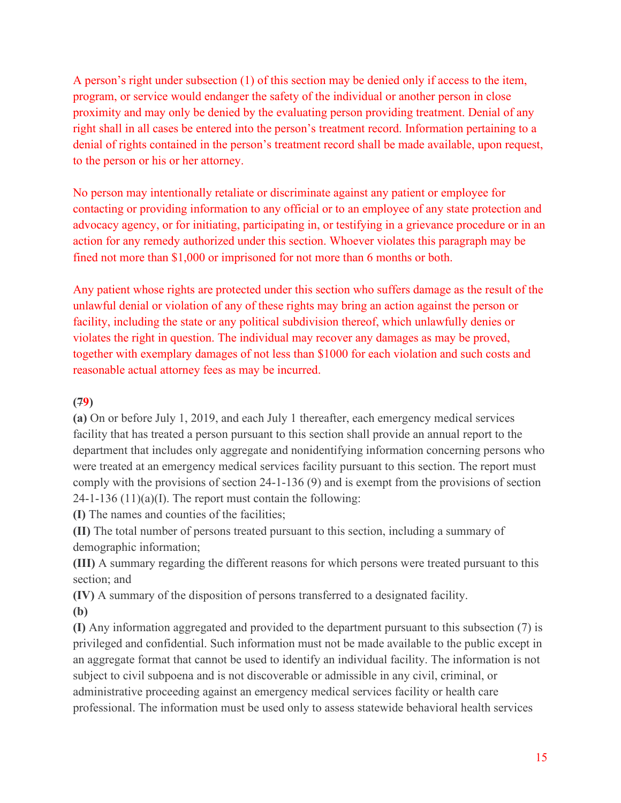A person's right under subsection (1) of this section may be denied only if access to the item, program, or service would endanger the safety of the individual or another person in close proximity and may only be denied by the evaluating person providing treatment. Denial of any right shall in all cases be entered into the person's treatment record. Information pertaining to a denial of rights contained in the person's treatment record shall be made available, upon request, to the person or his or her attorney.

No person may intentionally retaliate or discriminate against any patient or employee for contacting or providing information to any official or to an employee of any state protection and advocacy agency, or for initiating, participating in, or testifying in a grievance procedure or in an action for any remedy authorized under this section. Whoever violates this paragraph may be fined not more than \$1,000 or imprisoned for not more than 6 months or both.

Any patient whose rights are protected under this section who suffers damage as the result of the unlawful denial or violation of any of these rights may bring an action against the person or facility, including the state or any political subdivision thereof, which unlawfully denies or violates the right in question. The individual may recover any damages as may be proved, together with exemplary damages of not less than \$1000 for each violation and such costs and reasonable actual attorney fees as may be incurred.

#### **(79)**

**(a)** On or before July 1, 2019, and each July 1 thereafter, each emergency medical services facility that has treated a person pursuant to this section shall provide an annual report to the department that includes only aggregate and nonidentifying information concerning persons who were treated at an emergency medical services facility pursuant to this section. The report must comply with the provisions of section 24-1-136 (9) and is exempt from the provisions of section  $24-1-136(11)(a)(I)$ . The report must contain the following:

**(I)** The names and counties of the facilities;

**(II)** The total number of persons treated pursuant to this section, including a summary of demographic information;

**(III)** A summary regarding the different reasons for which persons were treated pursuant to this section; and

**(IV)** A summary of the disposition of persons transferred to a designated facility.

**(b)**

**(I)** Any information aggregated and provided to the department pursuant to this subsection (7) is privileged and confidential. Such information must not be made available to the public except in an aggregate format that cannot be used to identify an individual facility. The information is not subject to civil subpoena and is not discoverable or admissible in any civil, criminal, or administrative proceeding against an emergency medical services facility or health care professional. The information must be used only to assess statewide behavioral health services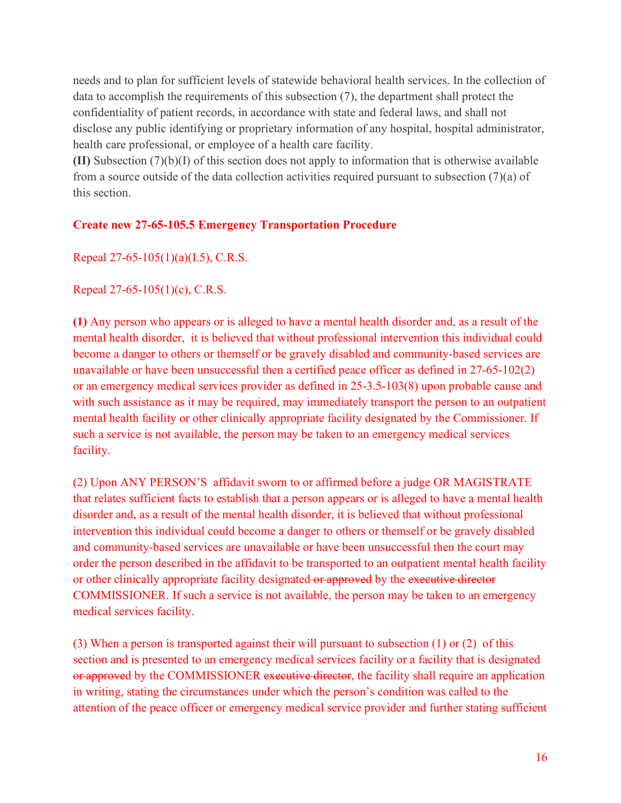needs and to plan for sufficient levels of statewide behavioral health services. In the collection of data to accomplish the requirements of this subsection (7), the department shall protect the confidentiality of patient records, in accordance with state and federal laws, and shall not disclose any public identifying or proprietary information of any hospital, hospital administrator, health care professional, or employee of a health care facility.

**(II)** Subsection (7)(b)(I) of this section does not apply to information that is otherwise available from a source outside of the data collection activities required pursuant to subsection (7)(a) of this section.

### **Create new 27-65-105.5 Emergency Transportation Procedure**

Repeal 27-65-105(1)(a)(I.5), C.R.S.

Repeal 27-65-105(1)(c), C.R.S.

**(1)** Any person who appears or is alleged to have a mental health disorder and, as a result of the mental health disorder, it is believed that without professional intervention this individual could become a danger to others or themself or be gravely disabled and community-based services are unavailable or have been unsuccessful then a certified peace officer as defined in 27-65-102(2) or an emergency medical services provider as defined in 25-3.5-103(8) upon probable cause and with such assistance as it may be required, may immediately transport the person to an outpatient mental health facility or other clinically appropriate facility designated by the Commissioner. If such a service is not available, the person may be taken to an emergency medical services facility.

(2) Upon ANY PERSON'S affidavit sworn to or affirmed before a judge OR MAGISTRATE that relates sufficient facts to establish that a person appears or is alleged to have a mental health disorder and, as a result of the mental health disorder, it is believed that without professional intervention this individual could become a danger to others or themself or be gravely disabled and community-based services are unavailable or have been unsuccessful then the court may order the person described in the affidavit to be transported to an outpatient mental health facility or other clinically appropriate facility designated or approved by the executive director COMMISSIONER. If such a service is not available, the person may be taken to an emergency medical services facility.

(3) When a person is transported against their will pursuant to subsection (1) or (2) of this section and is presented to an emergency medical services facility or a facility that is designated or approved by the COMMISSIONER executive director, the facility shall require an application in writing, stating the circumstances under which the person's condition was called to the attention of the peace officer or emergency medical service provider and further stating sufficient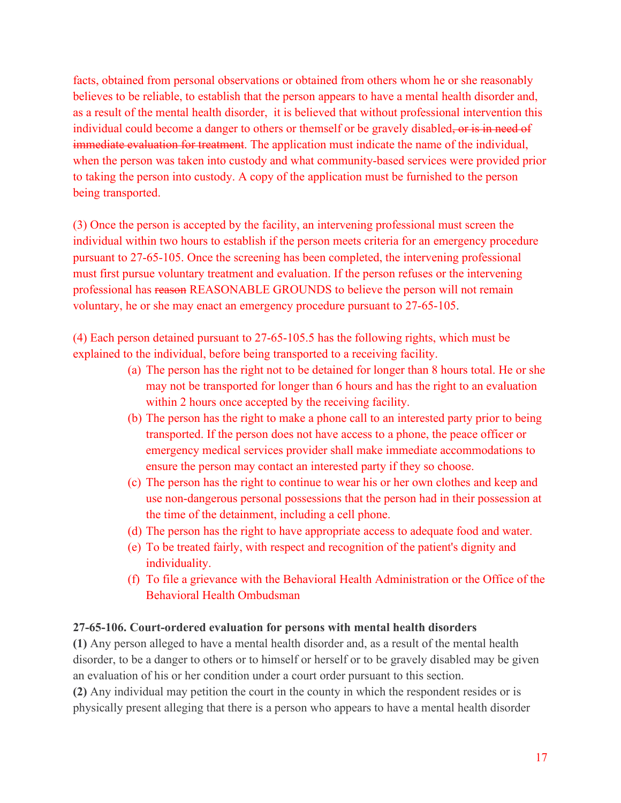facts, obtained from personal observations or obtained from others whom he or she reasonably believes to be reliable, to establish that the person appears to have a mental health disorder and, as a result of the mental health disorder, it is believed that without professional intervention this individual could become a danger to others or themself or be gravely disabled, or is in need of immediate evaluation for treatment. The application must indicate the name of the individual, when the person was taken into custody and what community-based services were provided prior to taking the person into custody. A copy of the application must be furnished to the person being transported.

(3) Once the person is accepted by the facility, an intervening professional must screen the individual within two hours to establish if the person meets criteria for an emergency procedure pursuant to 27-65-105. Once the screening has been completed, the intervening professional must first pursue voluntary treatment and evaluation. If the person refuses or the intervening professional has reason REASONABLE GROUNDS to believe the person will not remain voluntary, he or she may enact an emergency procedure pursuant to 27-65-105.

(4) Each person detained pursuant to 27-65-105.5 has the following rights, which must be explained to the individual, before being transported to a receiving facility.

- (a) The person has the right not to be detained for longer than 8 hours total. He or she may not be transported for longer than 6 hours and has the right to an evaluation within 2 hours once accepted by the receiving facility.
- (b) The person has the right to make a phone call to an interested party prior to being transported. If the person does not have access to a phone, the peace officer or emergency medical services provider shall make immediate accommodations to ensure the person may contact an interested party if they so choose.
- (c) The person has the right to continue to wear his or her own clothes and keep and use non-dangerous personal possessions that the person had in their possession at the time of the detainment, including a cell phone.
- (d) The person has the right to have appropriate access to adequate food and water.
- (e) To be treated fairly, with respect and recognition of the patient's dignity and individuality.
- (f) To file a grievance with the Behavioral Health Administration or the Office of the Behavioral Health Ombudsman

#### **27-65-106. Court-ordered evaluation for persons with mental health disorders**

**(1)** Any person alleged to have a mental health disorder and, as a result of the mental health disorder, to be a danger to others or to himself or herself or to be gravely disabled may be given an evaluation of his or her condition under a court order pursuant to this section.

**(2)** Any individual may petition the court in the county in which the respondent resides or is physically present alleging that there is a person who appears to have a mental health disorder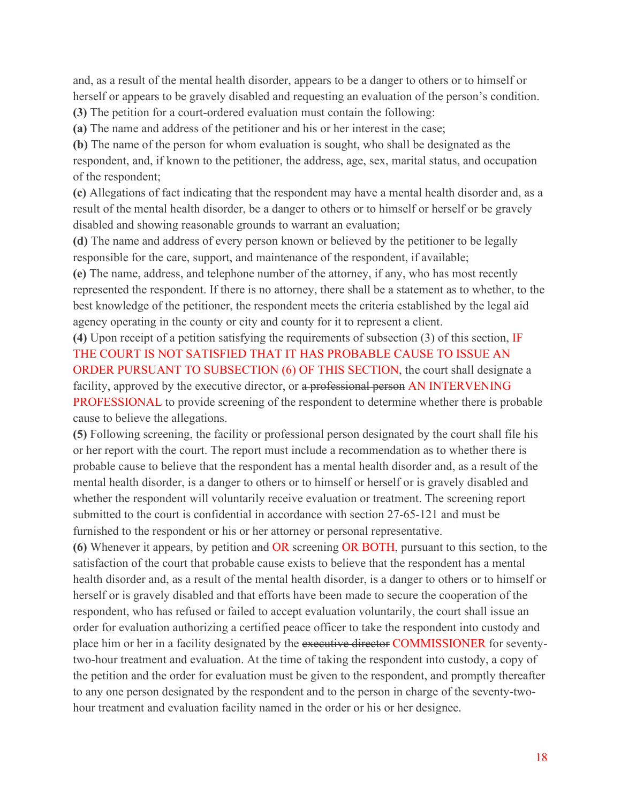and, as a result of the mental health disorder, appears to be a danger to others or to himself or herself or appears to be gravely disabled and requesting an evaluation of the person's condition.

**(3)** The petition for a court-ordered evaluation must contain the following:

**(a)** The name and address of the petitioner and his or her interest in the case;

**(b)** The name of the person for whom evaluation is sought, who shall be designated as the respondent, and, if known to the petitioner, the address, age, sex, marital status, and occupation of the respondent;

**(c)** Allegations of fact indicating that the respondent may have a mental health disorder and, as a result of the mental health disorder, be a danger to others or to himself or herself or be gravely disabled and showing reasonable grounds to warrant an evaluation;

**(d)** The name and address of every person known or believed by the petitioner to be legally responsible for the care, support, and maintenance of the respondent, if available;

**(e)** The name, address, and telephone number of the attorney, if any, who has most recently represented the respondent. If there is no attorney, there shall be a statement as to whether, to the best knowledge of the petitioner, the respondent meets the criteria established by the legal aid agency operating in the county or city and county for it to represent a client.

**(4)** Upon receipt of a petition satisfying the requirements of subsection (3) of this section, IF THE COURT IS NOT SATISFIED THAT IT HAS PROBABLE CAUSE TO ISSUE AN ORDER PURSUANT TO SUBSECTION (6) OF THIS SECTION, the court shall designate a facility, approved by the executive director, or a professional person AN INTERVENING PROFESSIONAL to provide screening of the respondent to determine whether there is probable cause to believe the allegations.

**(5)** Following screening, the facility or professional person designated by the court shall file his or her report with the court. The report must include a recommendation as to whether there is probable cause to believe that the respondent has a mental health disorder and, as a result of the mental health disorder, is a danger to others or to himself or herself or is gravely disabled and whether the respondent will voluntarily receive evaluation or treatment. The screening report submitted to the court is confidential in accordance with section 27-65-121 and must be furnished to the respondent or his or her attorney or personal representative.

**(6)** Whenever it appears, by petition and OR screening OR BOTH, pursuant to this section, to the satisfaction of the court that probable cause exists to believe that the respondent has a mental health disorder and, as a result of the mental health disorder, is a danger to others or to himself or herself or is gravely disabled and that efforts have been made to secure the cooperation of the respondent, who has refused or failed to accept evaluation voluntarily, the court shall issue an order for evaluation authorizing a certified peace officer to take the respondent into custody and place him or her in a facility designated by the executive director COMMISSIONER for seventytwo-hour treatment and evaluation. At the time of taking the respondent into custody, a copy of the petition and the order for evaluation must be given to the respondent, and promptly thereafter to any one person designated by the respondent and to the person in charge of the seventy-twohour treatment and evaluation facility named in the order or his or her designee.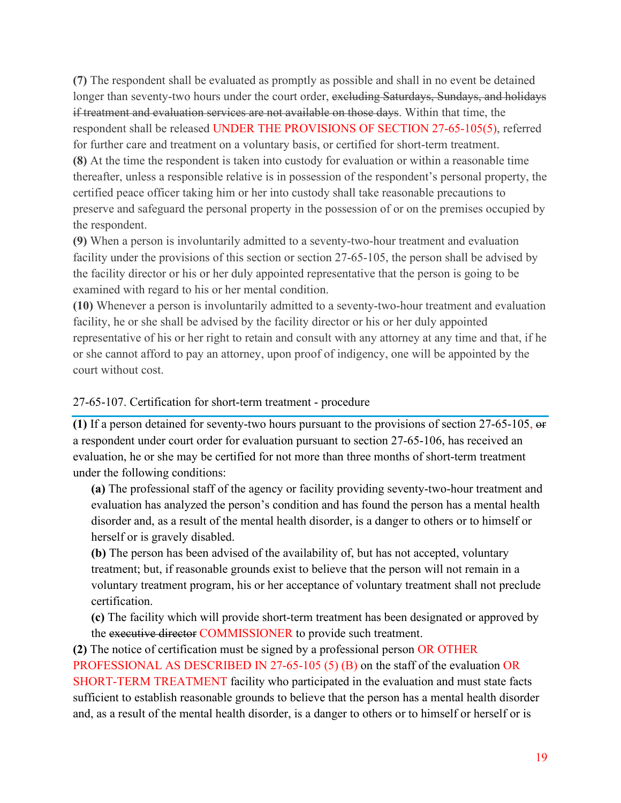**(7)** The respondent shall be evaluated as promptly as possible and shall in no event be detained longer than seventy-two hours under the court order, excluding Saturdays, Sundays, and holidays if treatment and evaluation services are not available on those days. Within that time, the respondent shall be released UNDER THE PROVISIONS OF SECTION 27-65-105(5), referred for further care and treatment on a voluntary basis, or certified for short-term treatment. **(8)** At the time the respondent is taken into custody for evaluation or within a reasonable time thereafter, unless a responsible relative is in possession of the respondent's personal property, the certified peace officer taking him or her into custody shall take reasonable precautions to preserve and safeguard the personal property in the possession of or on the premises occupied by the respondent.

**(9)** When a person is involuntarily admitted to a seventy-two-hour treatment and evaluation facility under the provisions of this section or section 27-65-105, the person shall be advised by the facility director or his or her duly appointed representative that the person is going to be examined with regard to his or her mental condition.

**(10)** Whenever a person is involuntarily admitted to a seventy-two-hour treatment and evaluation facility, he or she shall be advised by the facility director or his or her duly appointed representative of his or her right to retain and consult with any attorney at any time and that, if he or she cannot afford to pay an attorney, upon proof of indigency, one will be appointed by the court without cost.

#### 27-65-107. Certification for short-term treatment - procedure

**(1)** If a person detained for seventy-two hours pursuant to the provisions of section 27-65-105, or a respondent under court order for evaluation pursuant to section 27-65-106, has received an evaluation, he or she may be certified for not more than three months of short-term treatment under the following conditions:

**(a)** The professional staff of the agency or facility providing seventy-two-hour treatment and evaluation has analyzed the person's condition and has found the person has a mental health disorder and, as a result of the mental health disorder, is a danger to others or to himself or herself or is gravely disabled.

**(b)** The person has been advised of the availability of, but has not accepted, voluntary treatment; but, if reasonable grounds exist to believe that the person will not remain in a voluntary treatment program, his or her acceptance of voluntary treatment shall not preclude certification.

**(c)** The facility which will provide short-term treatment has been designated or approved by the executive director COMMISSIONER to provide such treatment.

**(2)** The notice of certification must be signed by a professional person OR OTHER PROFESSIONAL AS DESCRIBED IN 27-65-105 (5) (B) on the staff of the evaluation OR SHORT-TERM TREATMENT facility who participated in the evaluation and must state facts sufficient to establish reasonable grounds to believe that the person has a mental health disorder and, as a result of the mental health disorder, is a danger to others or to himself or herself or is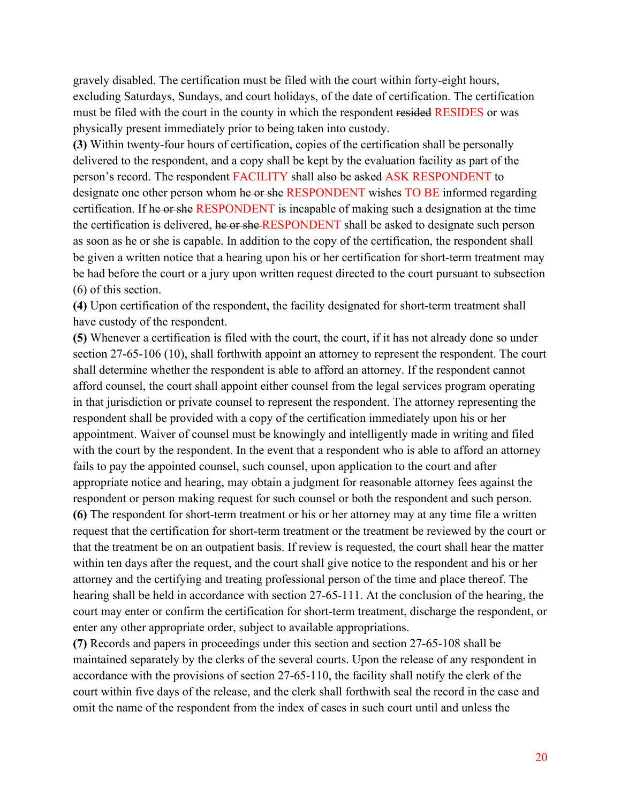gravely disabled. The certification must be filed with the court within forty-eight hours, excluding Saturdays, Sundays, and court holidays, of the date of certification. The certification must be filed with the court in the county in which the respondent resided RESIDES or was physically present immediately prior to being taken into custody.

**(3)** Within twenty-four hours of certification, copies of the certification shall be personally delivered to the respondent, and a copy shall be kept by the evaluation facility as part of the person's record. The respondent FACILITY shall also be asked ASK RESPONDENT to designate one other person whom he or she RESPONDENT wishes TO BE informed regarding certification. If he or she RESPONDENT is incapable of making such a designation at the time the certification is delivered, he or she RESPONDENT shall be asked to designate such person as soon as he or she is capable. In addition to the copy of the certification, the respondent shall be given a written notice that a hearing upon his or her certification for short-term treatment may be had before the court or a jury upon written request directed to the court pursuant to subsection (6) of this section.

**(4)** Upon certification of the respondent, the facility designated for short-term treatment shall have custody of the respondent.

**(5)** Whenever a certification is filed with the court, the court, if it has not already done so under section 27-65-106 (10), shall forthwith appoint an attorney to represent the respondent. The court shall determine whether the respondent is able to afford an attorney. If the respondent cannot afford counsel, the court shall appoint either counsel from the legal services program operating in that jurisdiction or private counsel to represent the respondent. The attorney representing the respondent shall be provided with a copy of the certification immediately upon his or her appointment. Waiver of counsel must be knowingly and intelligently made in writing and filed with the court by the respondent. In the event that a respondent who is able to afford an attorney fails to pay the appointed counsel, such counsel, upon application to the court and after appropriate notice and hearing, may obtain a judgment for reasonable attorney fees against the respondent or person making request for such counsel or both the respondent and such person. **(6)** The respondent for short-term treatment or his or her attorney may at any time file a written request that the certification for short-term treatment or the treatment be reviewed by the court or that the treatment be on an outpatient basis. If review is requested, the court shall hear the matter within ten days after the request, and the court shall give notice to the respondent and his or her attorney and the certifying and treating professional person of the time and place thereof. The hearing shall be held in accordance with section 27-65-111. At the conclusion of the hearing, the court may enter or confirm the certification for short-term treatment, discharge the respondent, or enter any other appropriate order, subject to available appropriations.

**(7)** Records and papers in proceedings under this section and section 27-65-108 shall be maintained separately by the clerks of the several courts. Upon the release of any respondent in accordance with the provisions of section 27-65-110, the facility shall notify the clerk of the court within five days of the release, and the clerk shall forthwith seal the record in the case and omit the name of the respondent from the index of cases in such court until and unless the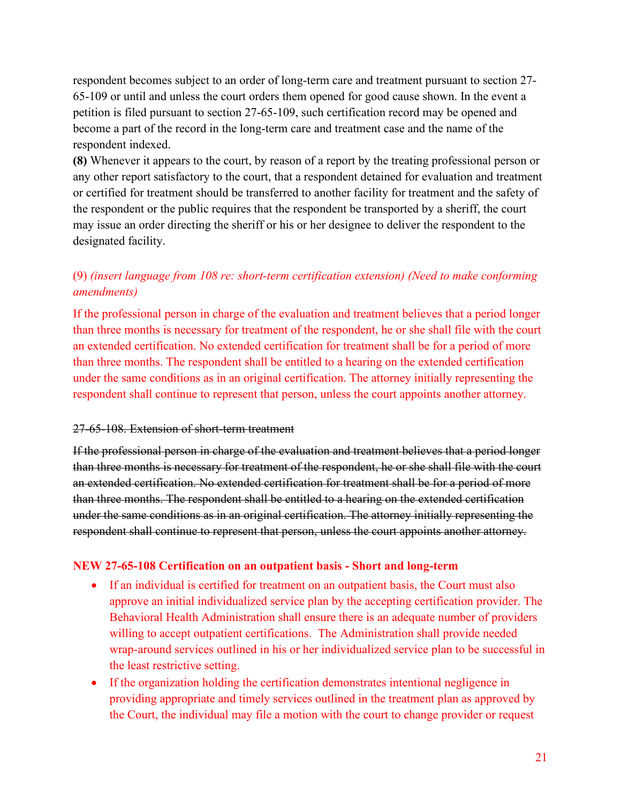respondent becomes subject to an order of long-term care and treatment pursuant to section 27- 65-109 or until and unless the court orders them opened for good cause shown. In the event a petition is filed pursuant to section 27-65-109, such certification record may be opened and become a part of the record in the long-term care and treatment case and the name of the respondent indexed.

**(8)** Whenever it appears to the court, by reason of a report by the treating professional person or any other report satisfactory to the court, that a respondent detained for evaluation and treatment or certified for treatment should be transferred to another facility for treatment and the safety of the respondent or the public requires that the respondent be transported by a sheriff, the court may issue an order directing the sheriff or his or her designee to deliver the respondent to the designated facility.

# (9) *(insert language from 108 re: short-term certification extension) (Need to make conforming amendments)*

If the professional person in charge of the evaluation and treatment believes that a period longer than three months is necessary for treatment of the respondent, he or she shall file with the court an extended certification. No extended certification for treatment shall be for a period of more than three months. The respondent shall be entitled to a hearing on the extended certification under the same conditions as in an original certification. The attorney initially representing the respondent shall continue to represent that person, unless the court appoints another attorney.

#### 27-65-108. Extension of short-term treatment

If the professional person in charge of the evaluation and treatment believes that a period longer than three months is necessary for treatment of the respondent, he or she shall file with the court an extended certification. No extended certification for treatment shall be for a period of more than three months. The respondent shall be entitled to a hearing on the extended certification under the same conditions as in an original certification. The attorney initially representing the respondent shall continue to represent that person, unless the court appoints another attorney.

#### **NEW 27-65-108 Certification on an outpatient basis - Short and long-term**

- If an individual is certified for treatment on an outpatient basis, the Court must also approve an initial individualized service plan by the accepting certification provider. The Behavioral Health Administration shall ensure there is an adequate number of providers willing to accept outpatient certifications. The Administration shall provide needed wrap-around services outlined in his or her individualized service plan to be successful in the least restrictive setting.
- If the organization holding the certification demonstrates intentional negligence in providing appropriate and timely services outlined in the treatment plan as approved by the Court, the individual may file a motion with the court to change provider or request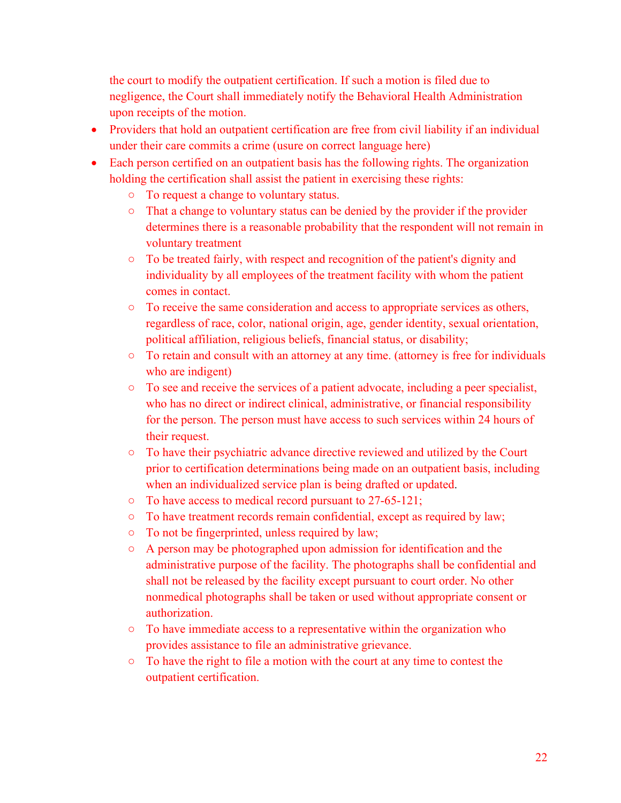the court to modify the outpatient certification. If such a motion is filed due to negligence, the Court shall immediately notify the Behavioral Health Administration upon receipts of the motion.

- Providers that hold an outpatient certification are free from civil liability if an individual under their care commits a crime (usure on correct language here)
- Each person certified on an outpatient basis has the following rights. The organization holding the certification shall assist the patient in exercising these rights:
	- To request a change to voluntary status.
	- That a change to voluntary status can be denied by the provider if the provider determines there is a reasonable probability that the respondent will not remain in voluntary treatment
	- To be treated fairly, with respect and recognition of the patient's dignity and individuality by all employees of the treatment facility with whom the patient comes in contact.
	- To receive the same consideration and access to appropriate services as others, regardless of race, color, national origin, age, gender identity, sexual orientation, political affiliation, religious beliefs, financial status, or disability;
	- To retain and consult with an attorney at any time. (attorney is free for individuals who are indigent)
	- To see and receive the services of a patient advocate, including a peer specialist, who has no direct or indirect clinical, administrative, or financial responsibility for the person. The person must have access to such services within 24 hours of their request.
	- To have their psychiatric advance directive reviewed and utilized by the Court prior to certification determinations being made on an outpatient basis, including when an individualized service plan is being drafted or updated.
	- To have access to medical record pursuant to 27-65-121;
	- To have treatment records remain confidential, except as required by law;
	- To not be fingerprinted, unless required by law;
	- A person may be photographed upon admission for identification and the administrative purpose of the facility. The photographs shall be confidential and shall not be released by the facility except pursuant to court order. No other nonmedical photographs shall be taken or used without appropriate consent or authorization.
	- To have immediate access to a representative within the organization who provides assistance to file an administrative grievance.
	- To have the right to file a motion with the court at any time to contest the outpatient certification.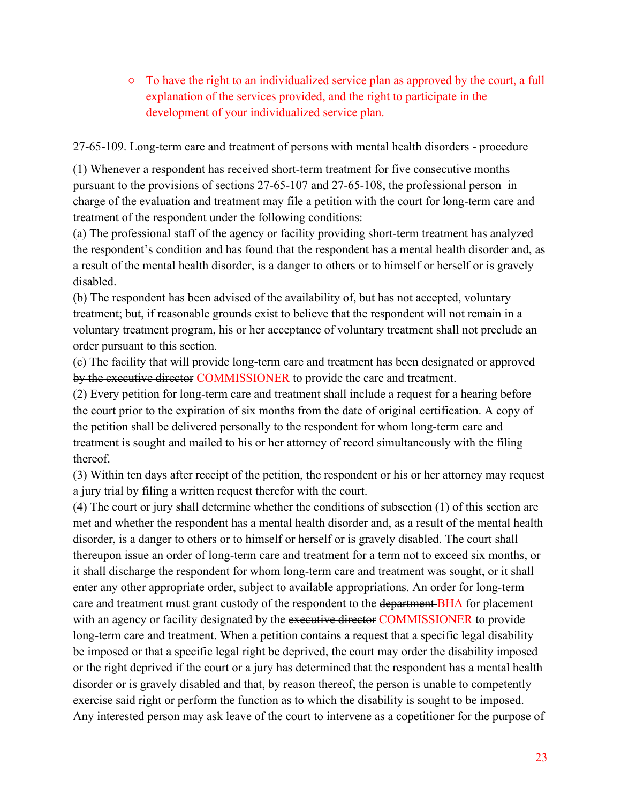$\circ$  To have the right to an individualized service plan as approved by the court, a full explanation of the services provided, and the right to participate in the development of your individualized service plan.

27-65-109. Long-term care and treatment of persons with mental health disorders - procedure

(1) Whenever a respondent has received short-term treatment for five consecutive months pursuant to the provisions of sections 27-65-107 and 27-65-108, the professional person in charge of the evaluation and treatment may file a petition with the court for long-term care and treatment of the respondent under the following conditions:

(a) The professional staff of the agency or facility providing short-term treatment has analyzed the respondent's condition and has found that the respondent has a mental health disorder and, as a result of the mental health disorder, is a danger to others or to himself or herself or is gravely disabled.

(b) The respondent has been advised of the availability of, but has not accepted, voluntary treatment; but, if reasonable grounds exist to believe that the respondent will not remain in a voluntary treatment program, his or her acceptance of voluntary treatment shall not preclude an order pursuant to this section.

(c) The facility that will provide long-term care and treatment has been designated or approved by the executive director COMMISSIONER to provide the care and treatment.

(2) Every petition for long-term care and treatment shall include a request for a hearing before the court prior to the expiration of six months from the date of original certification. A copy of the petition shall be delivered personally to the respondent for whom long-term care and treatment is sought and mailed to his or her attorney of record simultaneously with the filing thereof.

(3) Within ten days after receipt of the petition, the respondent or his or her attorney may request a jury trial by filing a written request therefor with the court.

(4) The court or jury shall determine whether the conditions of subsection (1) of this section are met and whether the respondent has a mental health disorder and, as a result of the mental health disorder, is a danger to others or to himself or herself or is gravely disabled. The court shall thereupon issue an order of long-term care and treatment for a term not to exceed six months, or it shall discharge the respondent for whom long-term care and treatment was sought, or it shall enter any other appropriate order, subject to available appropriations. An order for long-term care and treatment must grant custody of the respondent to the department BHA for placement with an agency or facility designated by the executive director COMMISSIONER to provide long-term care and treatment. When a petition contains a request that a specific legal disability be imposed or that a specific legal right be deprived, the court may order the disability imposed or the right deprived if the court or a jury has determined that the respondent has a mental health disorder or is gravely disabled and that, by reason thereof, the person is unable to competently exercise said right or perform the function as to which the disability is sought to be imposed. Any interested person may ask leave of the court to intervene as a copetitioner for the purpose of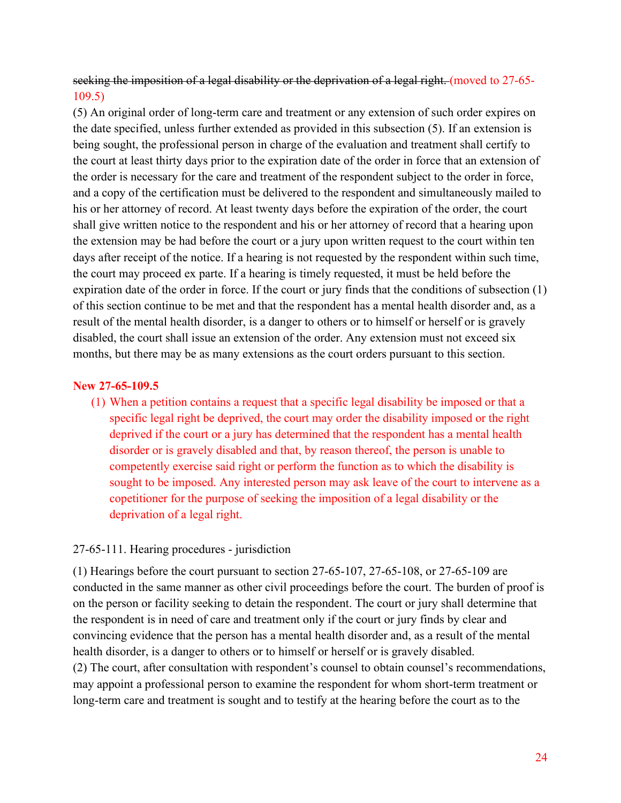seeking the imposition of a legal disability or the deprivation of a legal right. (moved to 27-65-109.5)

(5) An original order of long-term care and treatment or any extension of such order expires on the date specified, unless further extended as provided in this subsection (5). If an extension is being sought, the professional person in charge of the evaluation and treatment shall certify to the court at least thirty days prior to the expiration date of the order in force that an extension of the order is necessary for the care and treatment of the respondent subject to the order in force, and a copy of the certification must be delivered to the respondent and simultaneously mailed to his or her attorney of record. At least twenty days before the expiration of the order, the court shall give written notice to the respondent and his or her attorney of record that a hearing upon the extension may be had before the court or a jury upon written request to the court within ten days after receipt of the notice. If a hearing is not requested by the respondent within such time, the court may proceed ex parte. If a hearing is timely requested, it must be held before the expiration date of the order in force. If the court or jury finds that the conditions of subsection (1) of this section continue to be met and that the respondent has a mental health disorder and, as a result of the mental health disorder, is a danger to others or to himself or herself or is gravely disabled, the court shall issue an extension of the order. Any extension must not exceed six months, but there may be as many extensions as the court orders pursuant to this section.

#### **New 27-65-109.5**

(1) When a petition contains a request that a specific legal disability be imposed or that a specific legal right be deprived, the court may order the disability imposed or the right deprived if the court or a jury has determined that the respondent has a mental health disorder or is gravely disabled and that, by reason thereof, the person is unable to competently exercise said right or perform the function as to which the disability is sought to be imposed. Any interested person may ask leave of the court to intervene as a copetitioner for the purpose of seeking the imposition of a legal disability or the deprivation of a legal right.

#### 27-65-111. Hearing procedures - jurisdiction

(1) Hearings before the court pursuant to section 27-65-107, 27-65-108, or 27-65-109 are conducted in the same manner as other civil proceedings before the court. The burden of proof is on the person or facility seeking to detain the respondent. The court or jury shall determine that the respondent is in need of care and treatment only if the court or jury finds by clear and convincing evidence that the person has a mental health disorder and, as a result of the mental health disorder, is a danger to others or to himself or herself or is gravely disabled. (2) The court, after consultation with respondent's counsel to obtain counsel's recommendations, may appoint a professional person to examine the respondent for whom short-term treatment or long-term care and treatment is sought and to testify at the hearing before the court as to the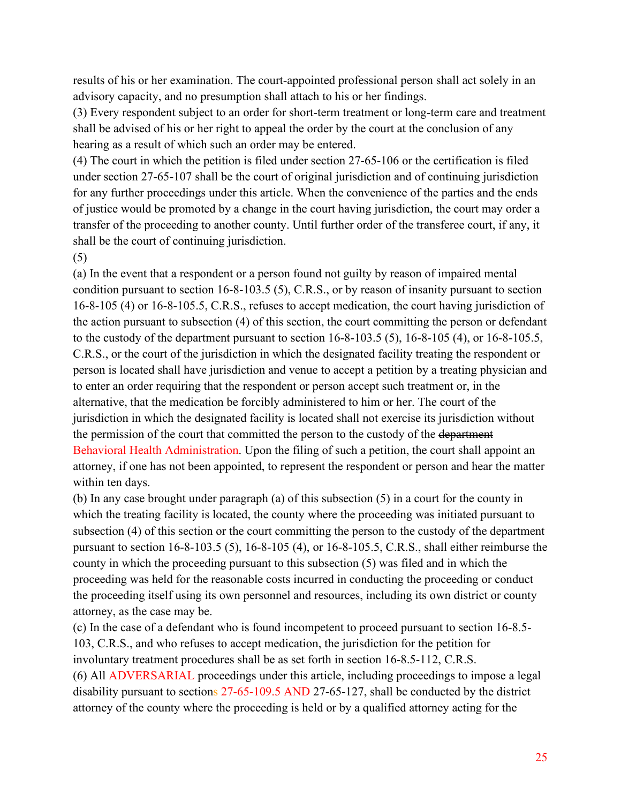results of his or her examination. The court-appointed professional person shall act solely in an advisory capacity, and no presumption shall attach to his or her findings.

(3) Every respondent subject to an order for short-term treatment or long-term care and treatment shall be advised of his or her right to appeal the order by the court at the conclusion of any hearing as a result of which such an order may be entered.

(4) The court in which the petition is filed under section 27-65-106 or the certification is filed under section 27-65-107 shall be the court of original jurisdiction and of continuing jurisdiction for any further proceedings under this article. When the convenience of the parties and the ends of justice would be promoted by a change in the court having jurisdiction, the court may order a transfer of the proceeding to another county. Until further order of the transferee court, if any, it shall be the court of continuing jurisdiction.

(5)

(a) In the event that a respondent or a person found not guilty by reason of impaired mental condition pursuant to section 16-8-103.5 (5), C.R.S., or by reason of insanity pursuant to section 16-8-105 (4) or 16-8-105.5, C.R.S., refuses to accept medication, the court having jurisdiction of the action pursuant to subsection (4) of this section, the court committing the person or defendant to the custody of the department pursuant to section 16-8-103.5 (5), 16-8-105 (4), or 16-8-105.5, C.R.S., or the court of the jurisdiction in which the designated facility treating the respondent or person is located shall have jurisdiction and venue to accept a petition by a treating physician and to enter an order requiring that the respondent or person accept such treatment or, in the alternative, that the medication be forcibly administered to him or her. The court of the jurisdiction in which the designated facility is located shall not exercise its jurisdiction without the permission of the court that committed the person to the custody of the department Behavioral Health Administration. Upon the filing of such a petition, the court shall appoint an attorney, if one has not been appointed, to represent the respondent or person and hear the matter within ten days.

(b) In any case brought under paragraph (a) of this subsection (5) in a court for the county in which the treating facility is located, the county where the proceeding was initiated pursuant to subsection (4) of this section or the court committing the person to the custody of the department pursuant to section 16-8-103.5 (5), 16-8-105 (4), or 16-8-105.5, C.R.S., shall either reimburse the county in which the proceeding pursuant to this subsection (5) was filed and in which the proceeding was held for the reasonable costs incurred in conducting the proceeding or conduct the proceeding itself using its own personnel and resources, including its own district or county attorney, as the case may be.

(c) In the case of a defendant who is found incompetent to proceed pursuant to section 16-8.5- 103, C.R.S., and who refuses to accept medication, the jurisdiction for the petition for involuntary treatment procedures shall be as set forth in section 16-8.5-112, C.R.S. (6) All ADVERSARIAL proceedings under this article, including proceedings to impose a legal disability pursuant to sections 27-65-109.5 AND 27-65-127, shall be conducted by the district attorney of the county where the proceeding is held or by a qualified attorney acting for the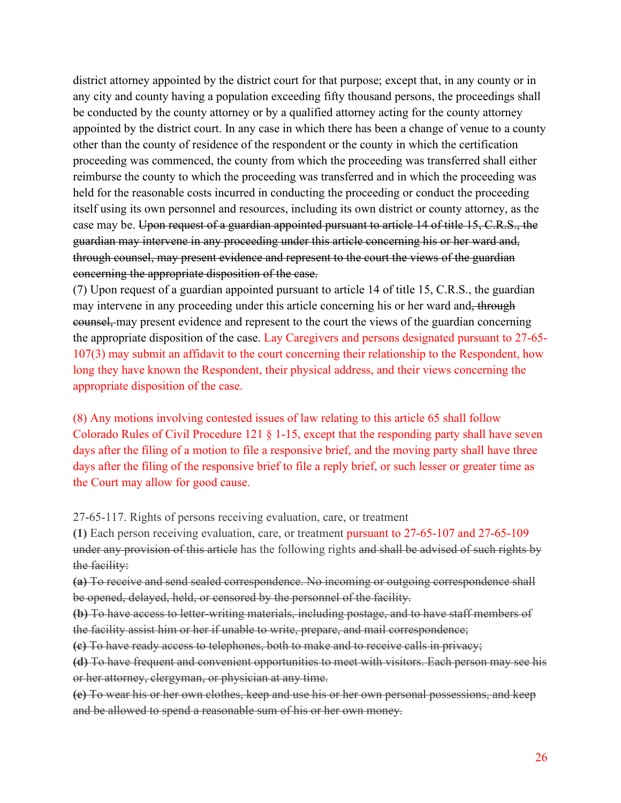district attorney appointed by the district court for that purpose; except that, in any county or in any city and county having a population exceeding fifty thousand persons, the proceedings shall be conducted by the county attorney or by a qualified attorney acting for the county attorney appointed by the district court. In any case in which there has been a change of venue to a county other than the county of residence of the respondent or the county in which the certification proceeding was commenced, the county from which the proceeding was transferred shall either reimburse the county to which the proceeding was transferred and in which the proceeding was held for the reasonable costs incurred in conducting the proceeding or conduct the proceeding itself using its own personnel and resources, including its own district or county attorney, as the case may be. Upon request of a guardian appointed pursuant to article 14 of title 15, C.R.S., the guardian may intervene in any proceeding under this article concerning his or her ward and, through counsel, may present evidence and represent to the court the views of the guardian concerning the appropriate disposition of the case.

(7) Upon request of a guardian appointed pursuant to article 14 of title 15, C.R.S., the guardian may intervene in any proceeding under this article concerning his or her ward and, through counsel, may present evidence and represent to the court the views of the guardian concerning the appropriate disposition of the case. Lay Caregivers and persons designated pursuant to 27-65- 107(3) may submit an affidavit to the court concerning their relationship to the Respondent, how long they have known the Respondent, their physical address, and their views concerning the appropriate disposition of the case.

(8) Any motions involving contested issues of law relating to this article 65 shall follow Colorado Rules of Civil Procedure 121 § 1-15, except that the responding party shall have seven days after the filing of a motion to file a responsive brief, and the moving party shall have three days after the filing of the responsive brief to file a reply brief, or such lesser or greater time as the Court may allow for good cause.

27-65-117. Rights of persons receiving evaluation, care, or treatment

**(1)** Each person receiving evaluation, care, or treatment pursuant to 27-65-107 and 27-65-109 under any provision of this article has the following rights and shall be advised of such rights by the facility:

**(a)** To receive and send sealed correspondence. No incoming or outgoing correspondence shall be opened, delayed, held, or censored by the personnel of the facility.

**(b)** To have access to letter-writing materials, including postage, and to have staff members of the facility assist him or her if unable to write, prepare, and mail correspondence;

**(c)** To have ready access to telephones, both to make and to receive calls in privacy;

**(d)** To have frequent and convenient opportunities to meet with visitors. Each person may see his or her attorney, clergyman, or physician at any time.

**(e)** To wear his or her own clothes, keep and use his or her own personal possessions, and keep and be allowed to spend a reasonable sum of his or her own money.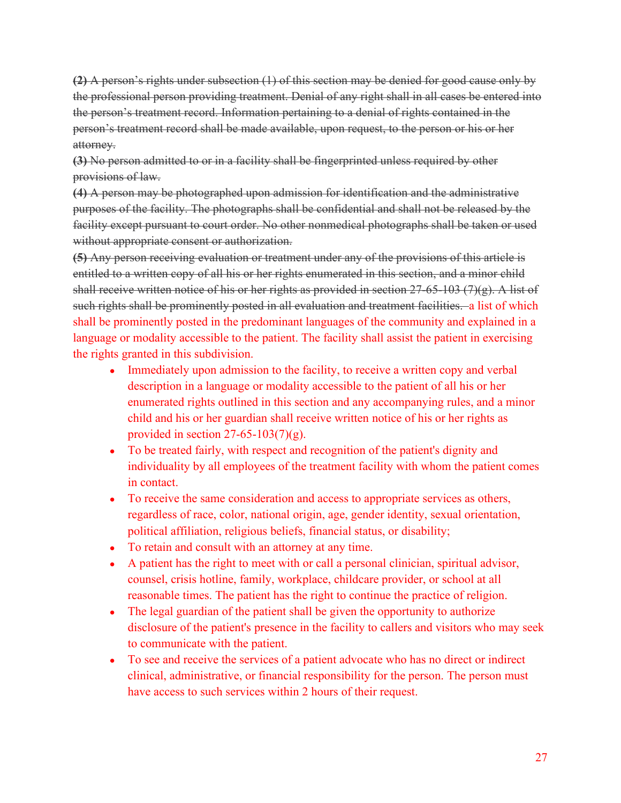**(2)** A person's rights under subsection (1) of this section may be denied for good cause only by the professional person providing treatment. Denial of any right shall in all cases be entered into the person's treatment record. Information pertaining to a denial of rights contained in the person's treatment record shall be made available, upon request, to the person or his or her attorney.

**(3)** No person admitted to or in a facility shall be fingerprinted unless required by other provisions of law.

**(4)** A person may be photographed upon admission for identification and the administrative purposes of the facility. The photographs shall be confidential and shall not be released by the facility except pursuant to court order. No other nonmedical photographs shall be taken or used without appropriate consent or authorization.

**(5)** Any person receiving evaluation or treatment under any of the provisions of this article is entitled to a written copy of all his or her rights enumerated in this section, and a minor child shall receive written notice of his or her rights as provided in section 27-65-103 (7)(g). A list of such rights shall be prominently posted in all evaluation and treatment facilities. a list of which shall be prominently posted in the predominant languages of the community and explained in a language or modality accessible to the patient. The facility shall assist the patient in exercising the rights granted in this subdivision.

- Immediately upon admission to the facility, to receive a written copy and verbal description in a language or modality accessible to the patient of all his or her enumerated rights outlined in this section and any accompanying rules, and a minor child and his or her guardian shall receive written notice of his or her rights as provided in section  $27-65-103(7)(g)$ .
- To be treated fairly, with respect and recognition of the patient's dignity and individuality by all employees of the treatment facility with whom the patient comes in contact.
- To receive the same consideration and access to appropriate services as others, regardless of race, color, national origin, age, gender identity, sexual orientation, political affiliation, religious beliefs, financial status, or disability;
- To retain and consult with an attorney at any time.
- A patient has the right to meet with or call a personal clinician, spiritual advisor, counsel, crisis hotline, family, workplace, childcare provider, or school at all reasonable times. The patient has the right to continue the practice of religion.
- The legal guardian of the patient shall be given the opportunity to authorize disclosure of the patient's presence in the facility to callers and visitors who may seek to communicate with the patient.
- To see and receive the services of a patient advocate who has no direct or indirect clinical, administrative, or financial responsibility for the person. The person must have access to such services within 2 hours of their request.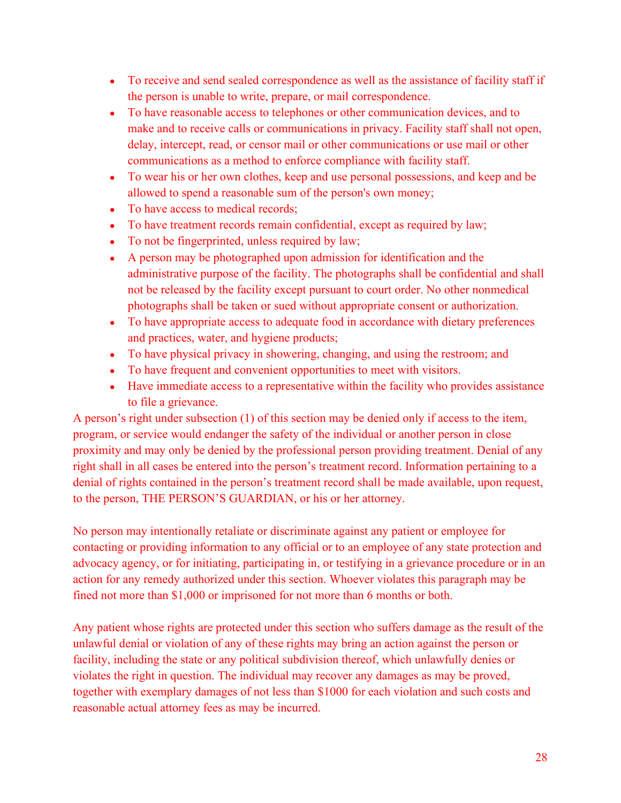- To receive and send sealed correspondence as well as the assistance of facility staff if the person is unable to write, prepare, or mail correspondence.
- To have reasonable access to telephones or other communication devices, and to make and to receive calls or communications in privacy. Facility staff shall not open, delay, intercept, read, or censor mail or other communications or use mail or other communications as a method to enforce compliance with facility staff.
- To wear his or her own clothes, keep and use personal possessions, and keep and be allowed to spend a reasonable sum of the person's own money;
- To have access to medical records;
- To have treatment records remain confidential, except as required by law;
- To not be fingerprinted, unless required by law;
- A person may be photographed upon admission for identification and the administrative purpose of the facility. The photographs shall be confidential and shall not be released by the facility except pursuant to court order. No other nonmedical photographs shall be taken or sued without appropriate consent or authorization.
- To have appropriate access to adequate food in accordance with dietary preferences and practices, water, and hygiene products;
- To have physical privacy in showering, changing, and using the restroom; and
- To have frequent and convenient opportunities to meet with visitors.
- Have immediate access to a representative within the facility who provides assistance to file a grievance.

A person's right under subsection (1) of this section may be denied only if access to the item, program, or service would endanger the safety of the individual or another person in close proximity and may only be denied by the professional person providing treatment. Denial of any right shall in all cases be entered into the person's treatment record. Information pertaining to a denial of rights contained in the person's treatment record shall be made available, upon request, to the person, THE PERSON'S GUARDIAN, or his or her attorney.

No person may intentionally retaliate or discriminate against any patient or employee for contacting or providing information to any official or to an employee of any state protection and advocacy agency, or for initiating, participating in, or testifying in a grievance procedure or in an action for any remedy authorized under this section. Whoever violates this paragraph may be fined not more than \$1,000 or imprisoned for not more than 6 months or both.

Any patient whose rights are protected under this section who suffers damage as the result of the unlawful denial or violation of any of these rights may bring an action against the person or facility, including the state or any political subdivision thereof, which unlawfully denies or violates the right in question. The individual may recover any damages as may be proved, together with exemplary damages of not less than \$1000 for each violation and such costs and reasonable actual attorney fees as may be incurred.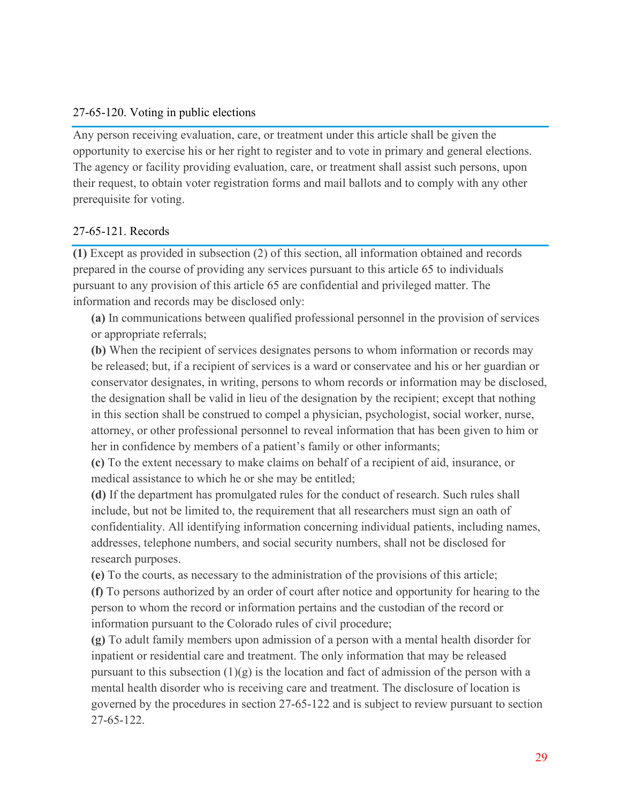#### 27-65-120. Voting in public elections

Any person receiving evaluation, care, or treatment under this article shall be given the opportunity to exercise his or her right to register and to vote in primary and general elections. The agency or facility providing evaluation, care, or treatment shall assist such persons, upon their request, to obtain voter registration forms and mail ballots and to comply with any other prerequisite for voting.

#### 27-65-121. Records

**(1)** Except as provided in subsection (2) of this section, all information obtained and records prepared in the course of providing any services pursuant to this article 65 to individuals pursuant to any provision of this article 65 are confidential and privileged matter. The information and records may be disclosed only:

**(a)** In communications between qualified professional personnel in the provision of services or appropriate referrals;

**(b)** When the recipient of services designates persons to whom information or records may be released; but, if a recipient of services is a ward or conservatee and his or her guardian or conservator designates, in writing, persons to whom records or information may be disclosed, the designation shall be valid in lieu of the designation by the recipient; except that nothing in this section shall be construed to compel a physician, psychologist, social worker, nurse, attorney, or other professional personnel to reveal information that has been given to him or her in confidence by members of a patient's family or other informants;

**(c)** To the extent necessary to make claims on behalf of a recipient of aid, insurance, or medical assistance to which he or she may be entitled;

**(d)** If the department has promulgated rules for the conduct of research. Such rules shall include, but not be limited to, the requirement that all researchers must sign an oath of confidentiality. All identifying information concerning individual patients, including names, addresses, telephone numbers, and social security numbers, shall not be disclosed for research purposes.

**(e)** To the courts, as necessary to the administration of the provisions of this article; **(f)** To persons authorized by an order of court after notice and opportunity for hearing to the person to whom the record or information pertains and the custodian of the record or information pursuant to the Colorado rules of civil procedure;

**(g)** To adult family members upon admission of a person with a mental health disorder for inpatient or residential care and treatment. The only information that may be released pursuant to this subsection  $(1)(g)$  is the location and fact of admission of the person with a mental health disorder who is receiving care and treatment. The disclosure of location is governed by the procedures in section 27-65-122 and is subject to review pursuant to section 27-65-122.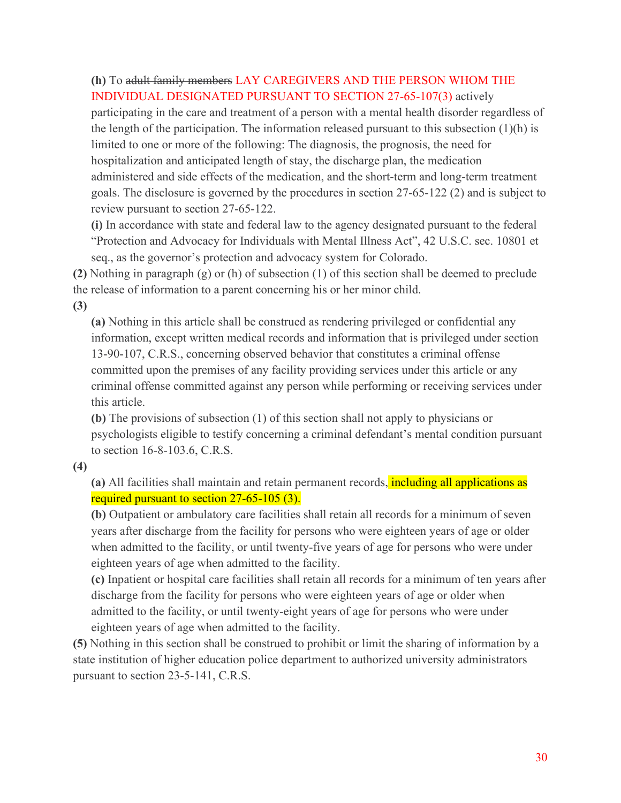#### **(h)** To adult family members LAY CAREGIVERS AND THE PERSON WHOM THE INDIVIDUAL DESIGNATED PURSUANT TO SECTION 27-65-107(3) actively

participating in the care and treatment of a person with a mental health disorder regardless of the length of the participation. The information released pursuant to this subsection (1)(h) is limited to one or more of the following: The diagnosis, the prognosis, the need for hospitalization and anticipated length of stay, the discharge plan, the medication administered and side effects of the medication, and the short-term and long-term treatment goals. The disclosure is governed by the procedures in section 27-65-122 (2) and is subject to review pursuant to section 27-65-122.

**(i)** In accordance with state and federal law to the agency designated pursuant to the federal "Protection and Advocacy for Individuals with Mental Illness Act", 42 U.S.C. sec. 10801 et seq., as the governor's protection and advocacy system for Colorado.

**(2)** Nothing in paragraph (g) or (h) of subsection (1) of this section shall be deemed to preclude the release of information to a parent concerning his or her minor child.

**(3)**

**(a)** Nothing in this article shall be construed as rendering privileged or confidential any information, except written medical records and information that is privileged under section 13-90-107, C.R.S., concerning observed behavior that constitutes a criminal offense committed upon the premises of any facility providing services under this article or any criminal offense committed against any person while performing or receiving services under this article.

**(b)** The provisions of subsection (1) of this section shall not apply to physicians or psychologists eligible to testify concerning a criminal defendant's mental condition pursuant to section 16-8-103.6, C.R.S.

**(4)**

**(a)** All facilities shall maintain and retain permanent records, including all applications as required pursuant to section 27-65-105 (3).

**(b)** Outpatient or ambulatory care facilities shall retain all records for a minimum of seven years after discharge from the facility for persons who were eighteen years of age or older when admitted to the facility, or until twenty-five years of age for persons who were under eighteen years of age when admitted to the facility.

**(c)** Inpatient or hospital care facilities shall retain all records for a minimum of ten years after discharge from the facility for persons who were eighteen years of age or older when admitted to the facility, or until twenty-eight years of age for persons who were under eighteen years of age when admitted to the facility.

**(5)** Nothing in this section shall be construed to prohibit or limit the sharing of information by a state institution of higher education police department to authorized university administrators pursuant to section 23-5-141, C.R.S.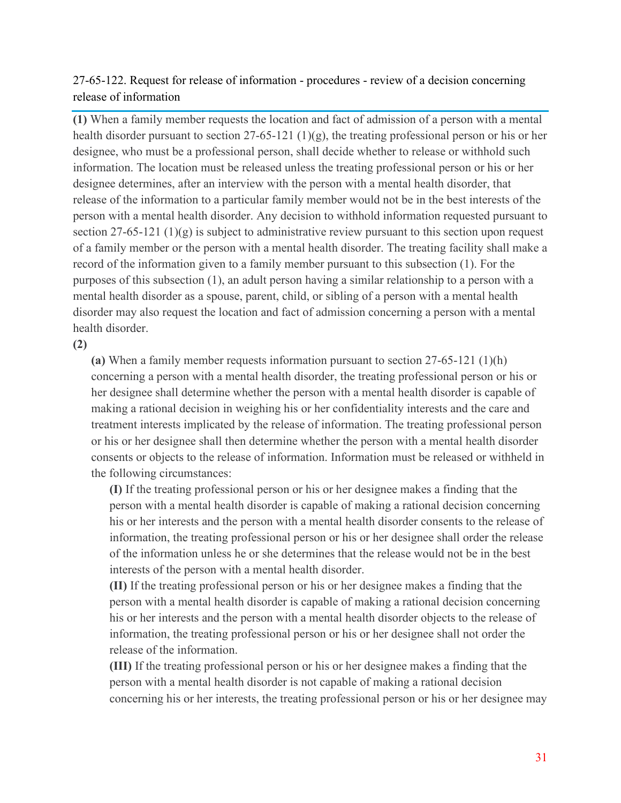## 27-65-122. Request for release of information - procedures - review of a decision concerning release of information

**(1)** When a family member requests the location and fact of admission of a person with a mental health disorder pursuant to section 27-65-121 (1)(g), the treating professional person or his or her designee, who must be a professional person, shall decide whether to release or withhold such information. The location must be released unless the treating professional person or his or her designee determines, after an interview with the person with a mental health disorder, that release of the information to a particular family member would not be in the best interests of the person with a mental health disorder. Any decision to withhold information requested pursuant to section  $27-65-121$  (1)(g) is subject to administrative review pursuant to this section upon request of a family member or the person with a mental health disorder. The treating facility shall make a record of the information given to a family member pursuant to this subsection (1). For the purposes of this subsection (1), an adult person having a similar relationship to a person with a mental health disorder as a spouse, parent, child, or sibling of a person with a mental health disorder may also request the location and fact of admission concerning a person with a mental health disorder.

**(2)**

**(a)** When a family member requests information pursuant to section 27-65-121 (1)(h) concerning a person with a mental health disorder, the treating professional person or his or her designee shall determine whether the person with a mental health disorder is capable of making a rational decision in weighing his or her confidentiality interests and the care and treatment interests implicated by the release of information. The treating professional person or his or her designee shall then determine whether the person with a mental health disorder consents or objects to the release of information. Information must be released or withheld in the following circumstances:

**(I)** If the treating professional person or his or her designee makes a finding that the person with a mental health disorder is capable of making a rational decision concerning his or her interests and the person with a mental health disorder consents to the release of information, the treating professional person or his or her designee shall order the release of the information unless he or she determines that the release would not be in the best interests of the person with a mental health disorder.

**(II)** If the treating professional person or his or her designee makes a finding that the person with a mental health disorder is capable of making a rational decision concerning his or her interests and the person with a mental health disorder objects to the release of information, the treating professional person or his or her designee shall not order the release of the information.

**(III)** If the treating professional person or his or her designee makes a finding that the person with a mental health disorder is not capable of making a rational decision concerning his or her interests, the treating professional person or his or her designee may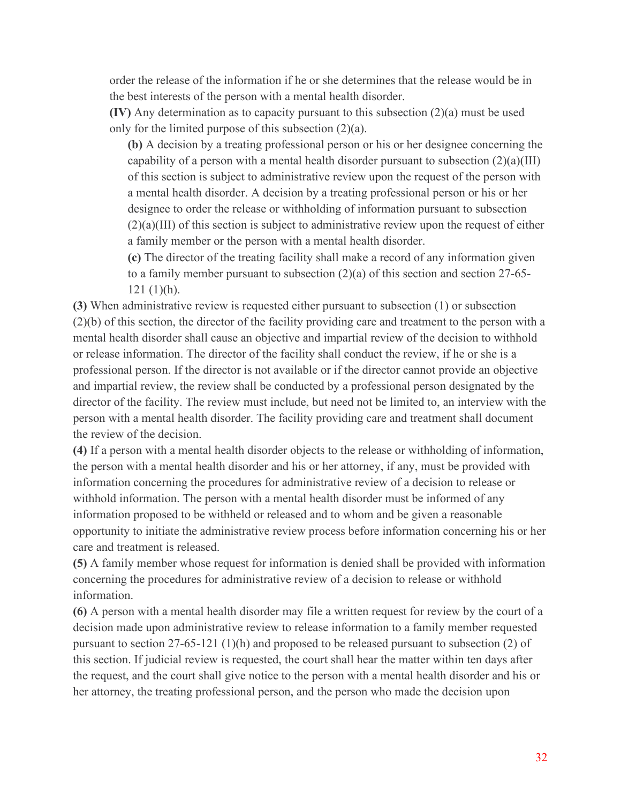order the release of the information if he or she determines that the release would be in the best interests of the person with a mental health disorder.

**(IV)** Any determination as to capacity pursuant to this subsection (2)(a) must be used only for the limited purpose of this subsection (2)(a).

**(b)** A decision by a treating professional person or his or her designee concerning the capability of a person with a mental health disorder pursuant to subsection  $(2)(a)(III)$ of this section is subject to administrative review upon the request of the person with a mental health disorder. A decision by a treating professional person or his or her designee to order the release or withholding of information pursuant to subsection (2)(a)(III) of this section is subject to administrative review upon the request of either a family member or the person with a mental health disorder.

**(c)** The director of the treating facility shall make a record of any information given to a family member pursuant to subsection (2)(a) of this section and section 27-65- 121 (1)(h).

**(3)** When administrative review is requested either pursuant to subsection (1) or subsection (2)(b) of this section, the director of the facility providing care and treatment to the person with a mental health disorder shall cause an objective and impartial review of the decision to withhold or release information. The director of the facility shall conduct the review, if he or she is a professional person. If the director is not available or if the director cannot provide an objective and impartial review, the review shall be conducted by a professional person designated by the director of the facility. The review must include, but need not be limited to, an interview with the person with a mental health disorder. The facility providing care and treatment shall document the review of the decision.

**(4)** If a person with a mental health disorder objects to the release or withholding of information, the person with a mental health disorder and his or her attorney, if any, must be provided with information concerning the procedures for administrative review of a decision to release or withhold information. The person with a mental health disorder must be informed of any information proposed to be withheld or released and to whom and be given a reasonable opportunity to initiate the administrative review process before information concerning his or her care and treatment is released.

**(5)** A family member whose request for information is denied shall be provided with information concerning the procedures for administrative review of a decision to release or withhold information.

**(6)** A person with a mental health disorder may file a written request for review by the court of a decision made upon administrative review to release information to a family member requested pursuant to section 27-65-121 (1)(h) and proposed to be released pursuant to subsection (2) of this section. If judicial review is requested, the court shall hear the matter within ten days after the request, and the court shall give notice to the person with a mental health disorder and his or her attorney, the treating professional person, and the person who made the decision upon